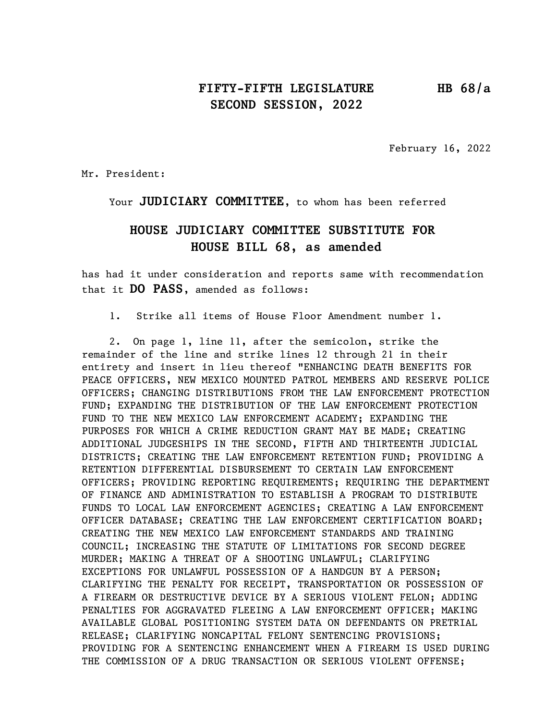February 16, 2022

Mr. President:

Your JUDICIARY COMMITTEE, to whom has been referred

# HOUSE JUDICIARY COMMITTEE SUBSTITUTE FOR HOUSE BILL 68, as amended

has had it under consideration and reports same with recommendation that it DO PASS, amended as follows:

1. Strike all items of House Floor Amendment number 1.

2. On page 1, line 11, after the semicolon, strike the remainder of the line and strike lines 12 through 21 in their entirety and insert in lieu thereof "ENHANCING DEATH BENEFITS FOR PEACE OFFICERS, NEW MEXICO MOUNTED PATROL MEMBERS AND RESERVE POLICE OFFICERS; CHANGING DISTRIBUTIONS FROM THE LAW ENFORCEMENT PROTECTION FUND; EXPANDING THE DISTRIBUTION OF THE LAW ENFORCEMENT PROTECTION FUND TO THE NEW MEXICO LAW ENFORCEMENT ACADEMY; EXPANDING THE PURPOSES FOR WHICH A CRIME REDUCTION GRANT MAY BE MADE; CREATING ADDITIONAL JUDGESHIPS IN THE SECOND, FIFTH AND THIRTEENTH JUDICIAL DISTRICTS; CREATING THE LAW ENFORCEMENT RETENTION FUND; PROVIDING A RETENTION DIFFERENTIAL DISBURSEMENT TO CERTAIN LAW ENFORCEMENT OFFICERS; PROVIDING REPORTING REQUIREMENTS; REQUIRING THE DEPARTMENT OF FINANCE AND ADMINISTRATION TO ESTABLISH A PROGRAM TO DISTRIBUTE FUNDS TO LOCAL LAW ENFORCEMENT AGENCIES; CREATING A LAW ENFORCEMENT OFFICER DATABASE; CREATING THE LAW ENFORCEMENT CERTIFICATION BOARD; CREATING THE NEW MEXICO LAW ENFORCEMENT STANDARDS AND TRAINING COUNCIL; INCREASING THE STATUTE OF LIMITATIONS FOR SECOND DEGREE MURDER; MAKING A THREAT OF A SHOOTING UNLAWFUL; CLARIFYING EXCEPTIONS FOR UNLAWFUL POSSESSION OF A HANDGUN BY A PERSON; CLARIFYING THE PENALTY FOR RECEIPT, TRANSPORTATION OR POSSESSION OF A FIREARM OR DESTRUCTIVE DEVICE BY A SERIOUS VIOLENT FELON; ADDING PENALTIES FOR AGGRAVATED FLEEING A LAW ENFORCEMENT OFFICER; MAKING AVAILABLE GLOBAL POSITIONING SYSTEM DATA ON DEFENDANTS ON PRETRIAL RELEASE; CLARIFYING NONCAPITAL FELONY SENTENCING PROVISIONS; PROVIDING FOR A SENTENCING ENHANCEMENT WHEN A FIREARM IS USED DURING THE COMMISSION OF A DRUG TRANSACTION OR SERIOUS VIOLENT OFFENSE;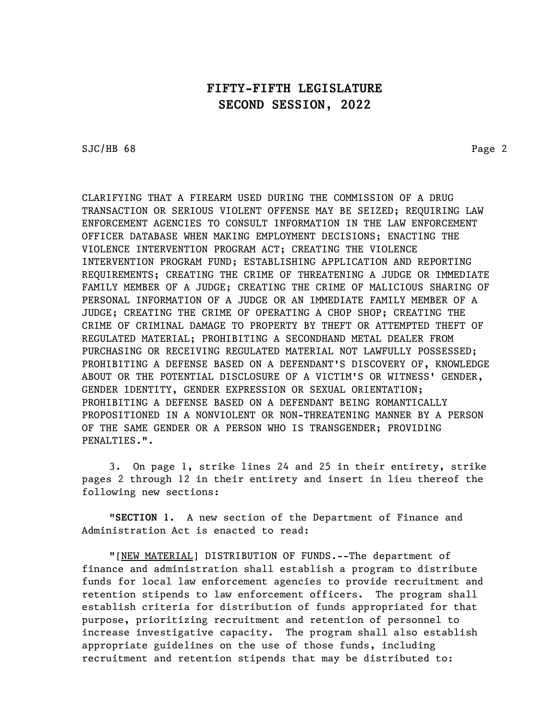SJC/HB 68 Page 2

CLARIFYING THAT A FIREARM USED DURING THE COMMISSION OF A DRUG TRANSACTION OR SERIOUS VIOLENT OFFENSE MAY BE SEIZED; REQUIRING LAW ENFORCEMENT AGENCIES TO CONSULT INFORMATION IN THE LAW ENFORCEMENT OFFICER DATABASE WHEN MAKING EMPLOYMENT DECISIONS; ENACTING THE VIOLENCE INTERVENTION PROGRAM ACT; CREATING THE VIOLENCE INTERVENTION PROGRAM FUND; ESTABLISHING APPLICATION AND REPORTING REQUIREMENTS; CREATING THE CRIME OF THREATENING A JUDGE OR IMMEDIATE FAMILY MEMBER OF A JUDGE; CREATING THE CRIME OF MALICIOUS SHARING OF PERSONAL INFORMATION OF A JUDGE OR AN IMMEDIATE FAMILY MEMBER OF A JUDGE; CREATING THE CRIME OF OPERATING A CHOP SHOP; CREATING THE CRIME OF CRIMINAL DAMAGE TO PROPERTY BY THEFT OR ATTEMPTED THEFT OF REGULATED MATERIAL; PROHIBITING A SECONDHAND METAL DEALER FROM PURCHASING OR RECEIVING REGULATED MATERIAL NOT LAWFULLY POSSESSED; PROHIBITING A DEFENSE BASED ON A DEFENDANT'S DISCOVERY OF, KNOWLEDGE ABOUT OR THE POTENTIAL DISCLOSURE OF A VICTIM'S OR WITNESS' GENDER, GENDER IDENTITY, GENDER EXPRESSION OR SEXUAL ORIENTATION; PROHIBITING A DEFENSE BASED ON A DEFENDANT BEING ROMANTICALLY PROPOSITIONED IN A NONVIOLENT OR NON-THREATENING MANNER BY A PERSON OF THE SAME GENDER OR A PERSON WHO IS TRANSGENDER; PROVIDING PENALTIES.".

3. On page 1, strike lines 24 and 25 in their entirety, strike pages 2 through 12 in their entirety and insert in lieu thereof the following new sections:

"SECTION 1. A new section of the Department of Finance and Administration Act is enacted to read:

"[NEW MATERIAL] DISTRIBUTION OF FUNDS.--The department of finance and administration shall establish a program to distribute funds for local law enforcement agencies to provide recruitment and retention stipends to law enforcement officers. The program shall establish criteria for distribution of funds appropriated for that purpose, prioritizing recruitment and retention of personnel to increase investigative capacity. The program shall also establish appropriate guidelines on the use of those funds, including recruitment and retention stipends that may be distributed to: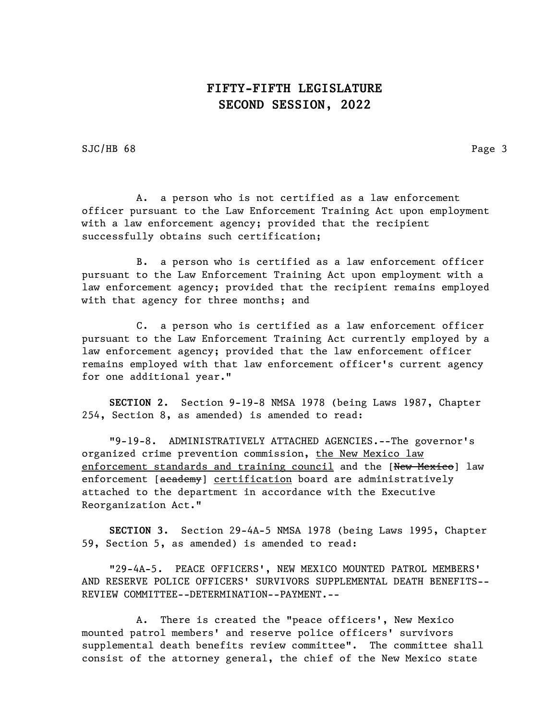SJC/HB 68 Page 3

A. a person who is not certified as a law enforcement officer pursuant to the Law Enforcement Training Act upon employment with a law enforcement agency; provided that the recipient successfully obtains such certification;

B. a person who is certified as a law enforcement officer pursuant to the Law Enforcement Training Act upon employment with a law enforcement agency; provided that the recipient remains employed with that agency for three months; and

C. a person who is certified as a law enforcement officer pursuant to the Law Enforcement Training Act currently employed by a law enforcement agency; provided that the law enforcement officer remains employed with that law enforcement officer's current agency for one additional year."

SECTION 2. Section 9-19-8 NMSA 1978 (being Laws 1987, Chapter 254, Section 8, as amended) is amended to read:

"9-19-8. ADMINISTRATIVELY ATTACHED AGENCIES.--The governor's organized crime prevention commission, the New Mexico law enforcement standards and training council and the [New Mexico] law enforcement [academy] certification board are administratively attached to the department in accordance with the Executive Reorganization Act."

SECTION 3. Section 29-4A-5 NMSA 1978 (being Laws 1995, Chapter 59, Section 5, as amended) is amended to read:

"29-4A-5. PEACE OFFICERS', NEW MEXICO MOUNTED PATROL MEMBERS' AND RESERVE POLICE OFFICERS' SURVIVORS SUPPLEMENTAL DEATH BENEFITS-- REVIEW COMMITTEE--DETERMINATION--PAYMENT.--

A. There is created the "peace officers', New Mexico mounted patrol members' and reserve police officers' survivors supplemental death benefits review committee". The committee shall consist of the attorney general, the chief of the New Mexico state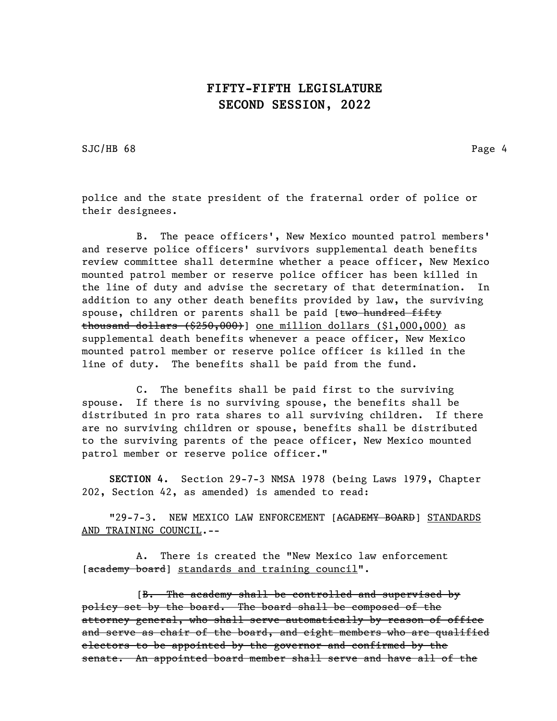SJC/HB 68 Page 4

police and the state president of the fraternal order of police or their designees.

B. The peace officers', New Mexico mounted patrol members' and reserve police officers' survivors supplemental death benefits review committee shall determine whether a peace officer, New Mexico mounted patrol member or reserve police officer has been killed in the line of duty and advise the secretary of that determination. In addition to any other death benefits provided by law, the surviving spouse, children or parents shall be paid [two hundred fifty thousand dollars (\$250,000)] one million dollars (\$1,000,000) as supplemental death benefits whenever a peace officer, New Mexico mounted patrol member or reserve police officer is killed in the line of duty. The benefits shall be paid from the fund.

C. The benefits shall be paid first to the surviving spouse. If there is no surviving spouse, the benefits shall be distributed in pro rata shares to all surviving children. If there are no surviving children or spouse, benefits shall be distributed to the surviving parents of the peace officer, New Mexico mounted patrol member or reserve police officer."

SECTION 4. Section 29-7-3 NMSA 1978 (being Laws 1979, Chapter 202, Section 42, as amended) is amended to read:

"29-7-3. NEW MEXICO LAW ENFORCEMENT [ACADEMY BOARD] STANDARDS AND TRAINING COUNCIL.--

A. There is created the "New Mexico law enforcement [academy board] standards and training council".

[B. The academy shall be controlled and supervised by policy set by the board. The board shall be composed of the attorney general, who shall serve automatically by reason of office and serve as chair of the board, and eight members who are qualified electors to be appointed by the governor and confirmed by the senate. An appointed board member shall serve and have all of the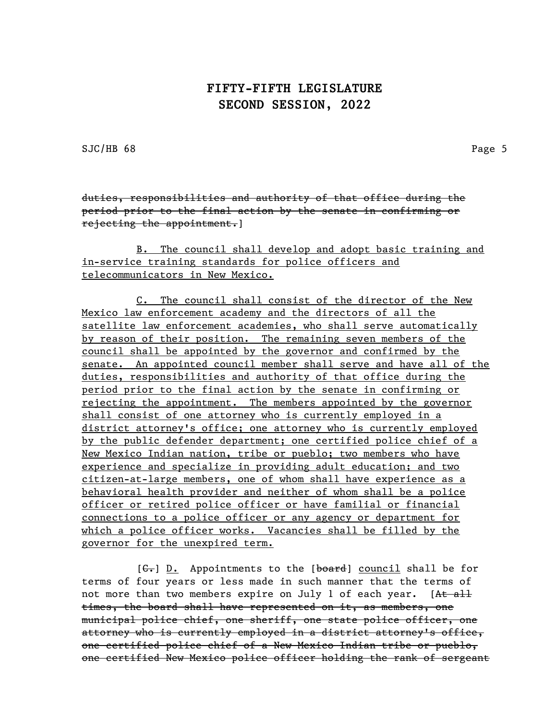SJC/HB 68 Page 5

duties, responsibilities and authority of that office during the period prior to the final action by the senate in confirming or rejecting the appointment.]

B. The council shall develop and adopt basic training and in-service training standards for police officers and telecommunicators in New Mexico.

C. The council shall consist of the director of the New Mexico law enforcement academy and the directors of all the satellite law enforcement academies, who shall serve automatically by reason of their position. The remaining seven members of the council shall be appointed by the governor and confirmed by the senate. An appointed council member shall serve and have all of the duties, responsibilities and authority of that office during the period prior to the final action by the senate in confirming or rejecting the appointment. The members appointed by the governor shall consist of one attorney who is currently employed in a district attorney's office; one attorney who is currently employed by the public defender department; one certified police chief of a New Mexico Indian nation, tribe or pueblo; two members who have experience and specialize in providing adult education; and two citizen-at-large members, one of whom shall have experience as a behavioral health provider and neither of whom shall be a police officer or retired police officer or have familial or financial connections to a police officer or any agency or department for which a police officer works. Vacancies shall be filled by the governor for the unexpired term.

 $[G<sub>r</sub>]$  D. Appointments to the  $[board]$  council shall be for terms of four years or less made in such manner that the terms of not more than two members expire on July 1 of each year. [At all times, the board shall have represented on it, as members, one municipal police chief, one sheriff, one state police officer, one attorney who is currently employed in a district attorney's office, one certified police chief of a New Mexico Indian tribe or pueblo, one certified New Mexico police officer holding the rank of sergeant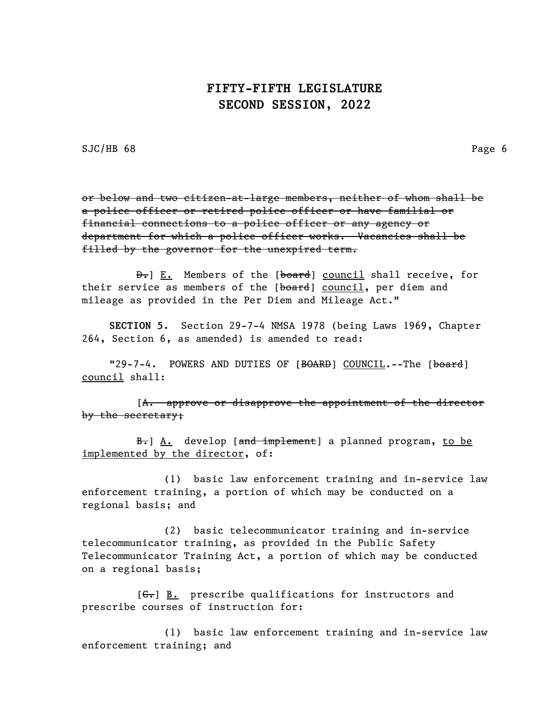SJC/HB 68 Page 6

or below and two citizen-at-large members, neither of whom shall be a police officer or retired police officer or have familial or financial connections to a police officer or any agency or department for which a police officer works. Vacancies shall be filled by the governor for the unexpired term.

**D.** E. Members of the [board] council shall receive, for their service as members of the [board] council, per diem and mileage as provided in the Per Diem and Mileage Act."

SECTION 5. Section 29-7-4 NMSA 1978 (being Laws 1969, Chapter 264, Section 6, as amended) is amended to read:

"29-7-4. POWERS AND DUTIES OF [BOARD] COUNCIL.--The [board] council shall:

[A. approve or disapprove the appointment of the director by the secretary;

B. Gevelop [and implement] a planned program, to be implemented by the director, of:

(1) basic law enforcement training and in-service law enforcement training, a portion of which may be conducted on a regional basis; and

(2) basic telecommunicator training and in-service telecommunicator training, as provided in the Public Safety Telecommunicator Training Act, a portion of which may be conducted on a regional basis;

 $[G<sub>r</sub>]$  B. prescribe qualifications for instructors and prescribe courses of instruction for:

(1) basic law enforcement training and in-service law enforcement training; and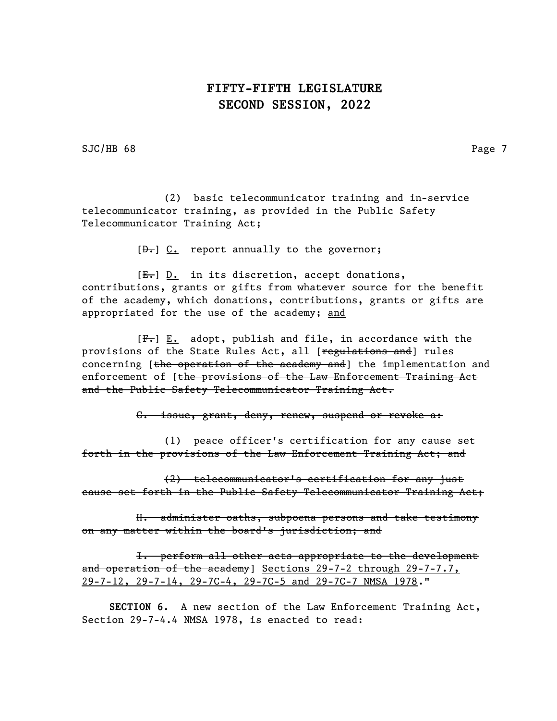SJC/HB 68 Page 7

(2) basic telecommunicator training and in-service telecommunicator training, as provided in the Public Safety Telecommunicator Training Act;

 $[\theta_{\tau}]$   $\underline{C}_{\cdot}$  report annually to the governor;

 $[E-]$  D. in its discretion, accept donations, contributions, grants or gifts from whatever source for the benefit of the academy, which donations, contributions, grants or gifts are appropriated for the use of the academy; and

 $[F<sub>1</sub>]$  E. adopt, publish and file, in accordance with the provisions of the State Rules Act, all [regulations and] rules concerning [the operation of the academy and] the implementation and enforcement of [the provisions of the Law Enforcement Training Act and the Public Safety Telecommunicator Training Act.

G. issue, grant, deny, renew, suspend or revoke a:

(1) peace officer's certification for any cause set forth in the provisions of the Law Enforcement Training Act; and

(2) telecommunicator's certification for any just cause set forth in the Public Safety Telecommunicator Training Act;

H. administer oaths, subpoena persons and take testimony on any matter within the board's jurisdiction; and

I. perform all other acts appropriate to the development and operation of the academy] Sections 29-7-2 through 29-7-7.7, 29-7-12, 29-7-14, 29-7C-4, 29-7C-5 and 29-7C-7 NMSA 1978."

SECTION 6. A new section of the Law Enforcement Training Act, Section 29-7-4.4 NMSA 1978, is enacted to read: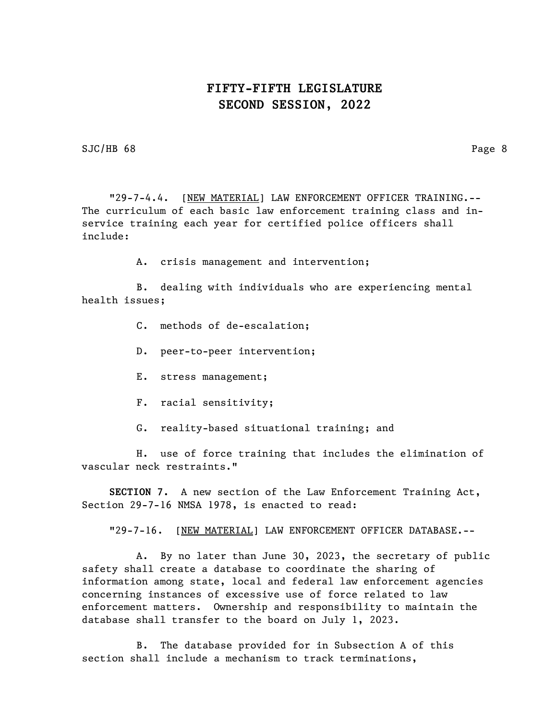SJC/HB 68 Page 8

"29-7-4.4. [NEW MATERIAL] LAW ENFORCEMENT OFFICER TRAINING.-- The curriculum of each basic law enforcement training class and inservice training each year for certified police officers shall include:

A. crisis management and intervention;

B. dealing with individuals who are experiencing mental health issues;

- C. methods of de-escalation;
- D. peer-to-peer intervention;
- E. stress management;
- F. racial sensitivity;
- G. reality-based situational training; and

H. use of force training that includes the elimination of vascular neck restraints."

SECTION 7. A new section of the Law Enforcement Training Act, Section 29-7-16 NMSA 1978, is enacted to read:

"29-7-16. [NEW MATERIAL] LAW ENFORCEMENT OFFICER DATABASE.--

A. By no later than June 30, 2023, the secretary of public safety shall create a database to coordinate the sharing of information among state, local and federal law enforcement agencies concerning instances of excessive use of force related to law enforcement matters. Ownership and responsibility to maintain the database shall transfer to the board on July 1, 2023.

B. The database provided for in Subsection A of this section shall include a mechanism to track terminations,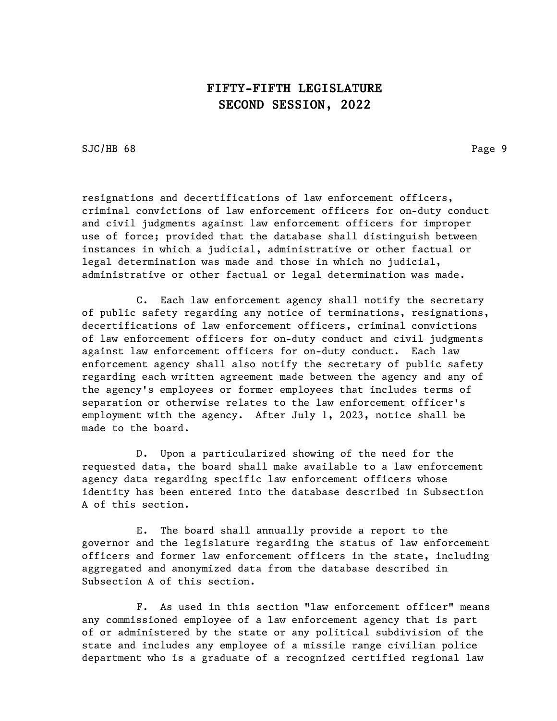SJC/HB 68 Page 9

resignations and decertifications of law enforcement officers, criminal convictions of law enforcement officers for on-duty conduct and civil judgments against law enforcement officers for improper use of force; provided that the database shall distinguish between instances in which a judicial, administrative or other factual or legal determination was made and those in which no judicial, administrative or other factual or legal determination was made.

C. Each law enforcement agency shall notify the secretary of public safety regarding any notice of terminations, resignations, decertifications of law enforcement officers, criminal convictions of law enforcement officers for on-duty conduct and civil judgments against law enforcement officers for on-duty conduct. Each law enforcement agency shall also notify the secretary of public safety regarding each written agreement made between the agency and any of the agency's employees or former employees that includes terms of separation or otherwise relates to the law enforcement officer's employment with the agency. After July 1, 2023, notice shall be made to the board.

D. Upon a particularized showing of the need for the requested data, the board shall make available to a law enforcement agency data regarding specific law enforcement officers whose identity has been entered into the database described in Subsection A of this section.

E. The board shall annually provide a report to the governor and the legislature regarding the status of law enforcement officers and former law enforcement officers in the state, including aggregated and anonymized data from the database described in Subsection A of this section.

F. As used in this section "law enforcement officer" means any commissioned employee of a law enforcement agency that is part of or administered by the state or any political subdivision of the state and includes any employee of a missile range civilian police department who is a graduate of a recognized certified regional law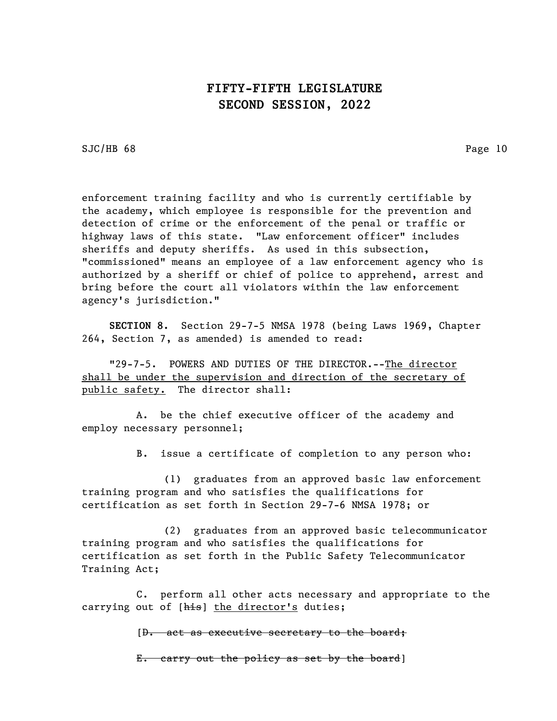SJC/HB 68 Page 10

enforcement training facility and who is currently certifiable by the academy, which employee is responsible for the prevention and detection of crime or the enforcement of the penal or traffic or highway laws of this state. "Law enforcement officer" includes sheriffs and deputy sheriffs. As used in this subsection, "commissioned" means an employee of a law enforcement agency who is authorized by a sheriff or chief of police to apprehend, arrest and bring before the court all violators within the law enforcement agency's jurisdiction."

SECTION 8. Section 29-7-5 NMSA 1978 (being Laws 1969, Chapter 264, Section 7, as amended) is amended to read:

"29-7-5. POWERS AND DUTIES OF THE DIRECTOR.--The director shall be under the supervision and direction of the secretary of public safety. The director shall:

A. be the chief executive officer of the academy and employ necessary personnel;

B. issue a certificate of completion to any person who:

(1) graduates from an approved basic law enforcement training program and who satisfies the qualifications for certification as set forth in Section 29-7-6 NMSA 1978; or

(2) graduates from an approved basic telecommunicator training program and who satisfies the qualifications for certification as set forth in the Public Safety Telecommunicator Training Act;

C. perform all other acts necessary and appropriate to the carrying out of [his] the director's duties;

[D. act as executive secretary to the board;

E. carry out the policy as set by the board]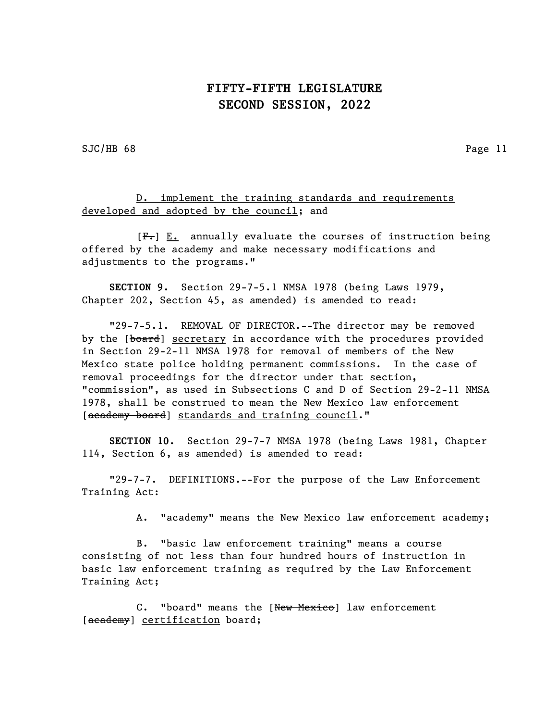SJC/HB 68 Page 11

D. implement the training standards and requirements developed and adopted by the council; and

 $[F_{\tau}]$  E. annually evaluate the courses of instruction being offered by the academy and make necessary modifications and adjustments to the programs."

SECTION 9. Section 29-7-5.1 NMSA 1978 (being Laws 1979, Chapter 202, Section 45, as amended) is amended to read:

"29-7-5.1. REMOVAL OF DIRECTOR.--The director may be removed by the [board] secretary in accordance with the procedures provided in Section 29-2-11 NMSA 1978 for removal of members of the New Mexico state police holding permanent commissions. In the case of removal proceedings for the director under that section, "commission", as used in Subsections C and D of Section 29-2-11 NMSA 1978, shall be construed to mean the New Mexico law enforcement [academy board] standards and training council."

SECTION 10. Section 29-7-7 NMSA 1978 (being Laws 1981, Chapter 114, Section 6, as amended) is amended to read:

"29-7-7. DEFINITIONS.--For the purpose of the Law Enforcement Training Act:

A. "academy" means the New Mexico law enforcement academy;

B. "basic law enforcement training" means a course consisting of not less than four hundred hours of instruction in basic law enforcement training as required by the Law Enforcement Training Act;

C. "board" means the [New Mexico] law enforcement [academy] certification board;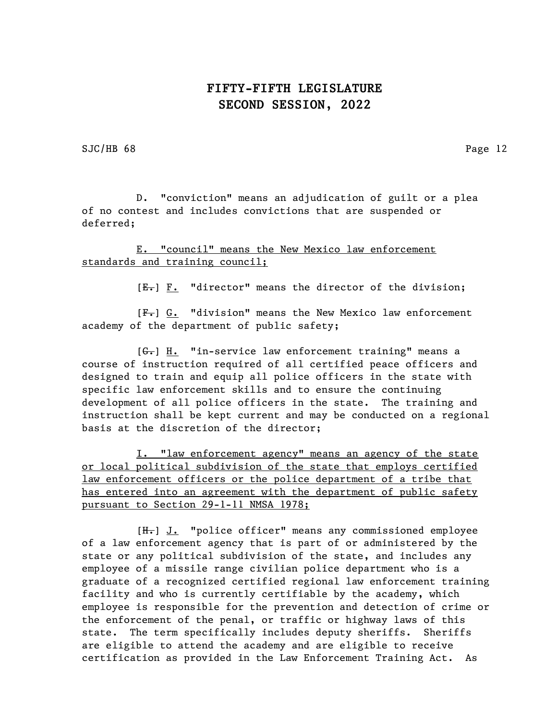SJC/HB 68 Page 12

D. "conviction" means an adjudication of guilt or a plea of no contest and includes convictions that are suspended or deferred;

#### E. "council" means the New Mexico law enforcement standards and training council;

 $[E_r]$   $F.$  "director" means the director of the division;

[F.] G. "division" means the New Mexico law enforcement academy of the department of public safety;

 $[G_{\bullet}]$  H. "in-service law enforcement training" means a course of instruction required of all certified peace officers and designed to train and equip all police officers in the state with specific law enforcement skills and to ensure the continuing development of all police officers in the state. The training and instruction shall be kept current and may be conducted on a regional basis at the discretion of the director;

I. "law enforcement agency" means an agency of the state or local political subdivision of the state that employs certified law enforcement officers or the police department of a tribe that has entered into an agreement with the department of public safety pursuant to Section 29-1-11 NMSA 1978;

[H.] J. "police officer" means any commissioned employee of a law enforcement agency that is part of or administered by the state or any political subdivision of the state, and includes any employee of a missile range civilian police department who is a graduate of a recognized certified regional law enforcement training facility and who is currently certifiable by the academy, which employee is responsible for the prevention and detection of crime or the enforcement of the penal, or traffic or highway laws of this state. The term specifically includes deputy sheriffs. Sheriffs are eligible to attend the academy and are eligible to receive certification as provided in the Law Enforcement Training Act. As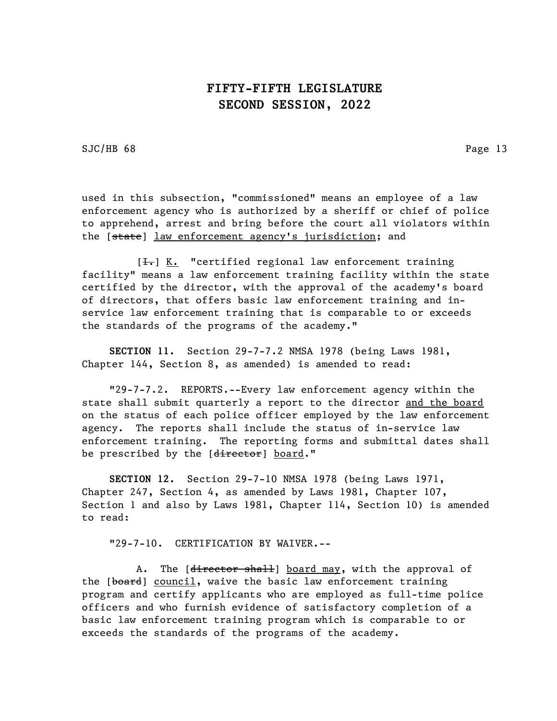SJC/HB 68 Page 13

used in this subsection, "commissioned" means an employee of a law enforcement agency who is authorized by a sheriff or chief of police to apprehend, arrest and bring before the court all violators within the [state] law enforcement agency's jurisdiction; and

 $[\frac{1}{1}]$  K. "certified regional law enforcement training facility" means a law enforcement training facility within the state certified by the director, with the approval of the academy's board of directors, that offers basic law enforcement training and inservice law enforcement training that is comparable to or exceeds the standards of the programs of the academy."

SECTION 11. Section 29-7-7.2 NMSA 1978 (being Laws 1981, Chapter 144, Section 8, as amended) is amended to read:

"29-7-7.2. REPORTS.--Every law enforcement agency within the state shall submit quarterly a report to the director and the board on the status of each police officer employed by the law enforcement agency. The reports shall include the status of in-service law enforcement training. The reporting forms and submittal dates shall be prescribed by the [director] board."

SECTION 12. Section 29-7-10 NMSA 1978 (being Laws 1971, Chapter 247, Section 4, as amended by Laws 1981, Chapter 107, Section 1 and also by Laws 1981, Chapter 114, Section 10) is amended to read:

"29-7-10. CERTIFICATION BY WAIVER.--

A. The [director shall] board may, with the approval of the [board] council, waive the basic law enforcement training program and certify applicants who are employed as full-time police officers and who furnish evidence of satisfactory completion of a basic law enforcement training program which is comparable to or exceeds the standards of the programs of the academy.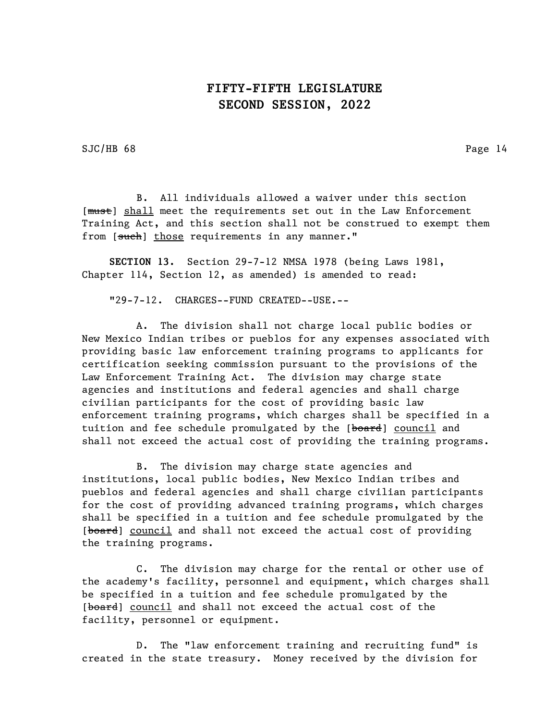SJC/HB 68 Page 14

B. All individuals allowed a waiver under this section [ $mu$ st] shall meet the requirements set out in the Law Enforcement Training Act, and this section shall not be construed to exempt them from [such] those requirements in any manner."

SECTION 13. Section 29-7-12 NMSA 1978 (being Laws 1981, Chapter 114, Section 12, as amended) is amended to read:

"29-7-12. CHARGES--FUND CREATED--USE.--

A. The division shall not charge local public bodies or New Mexico Indian tribes or pueblos for any expenses associated with providing basic law enforcement training programs to applicants for certification seeking commission pursuant to the provisions of the Law Enforcement Training Act. The division may charge state agencies and institutions and federal agencies and shall charge civilian participants for the cost of providing basic law enforcement training programs, which charges shall be specified in a tuition and fee schedule promulgated by the [board] council and shall not exceed the actual cost of providing the training programs.

B. The division may charge state agencies and institutions, local public bodies, New Mexico Indian tribes and pueblos and federal agencies and shall charge civilian participants for the cost of providing advanced training programs, which charges shall be specified in a tuition and fee schedule promulgated by the [board] council and shall not exceed the actual cost of providing the training programs.

C. The division may charge for the rental or other use of the academy's facility, personnel and equipment, which charges shall be specified in a tuition and fee schedule promulgated by the [board] council and shall not exceed the actual cost of the facility, personnel or equipment.

D. The "law enforcement training and recruiting fund" is created in the state treasury. Money received by the division for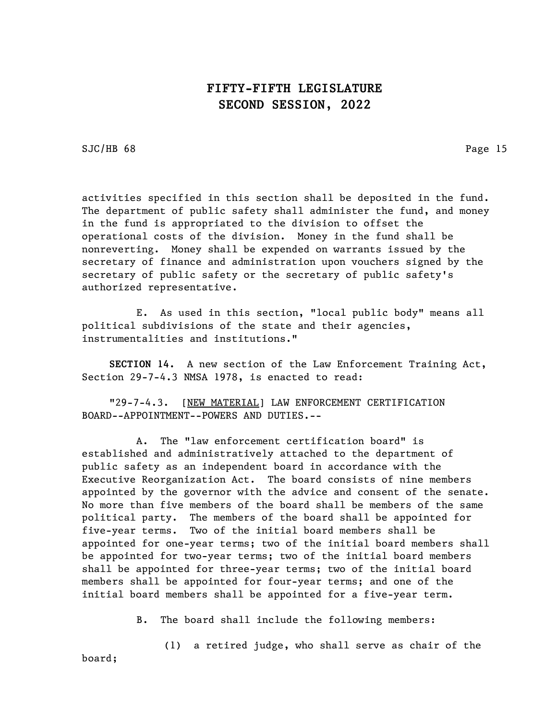SJC/HB 68 Page 15

activities specified in this section shall be deposited in the fund. The department of public safety shall administer the fund, and money in the fund is appropriated to the division to offset the operational costs of the division. Money in the fund shall be nonreverting. Money shall be expended on warrants issued by the secretary of finance and administration upon vouchers signed by the secretary of public safety or the secretary of public safety's authorized representative.

E. As used in this section, "local public body" means all political subdivisions of the state and their agencies, instrumentalities and institutions."

SECTION 14. A new section of the Law Enforcement Training Act, Section 29-7-4.3 NMSA 1978, is enacted to read:

"29-7-4.3. [NEW MATERIAL] LAW ENFORCEMENT CERTIFICATION BOARD--APPOINTMENT--POWERS AND DUTIES.--

A. The "law enforcement certification board" is established and administratively attached to the department of public safety as an independent board in accordance with the Executive Reorganization Act. The board consists of nine members appointed by the governor with the advice and consent of the senate. No more than five members of the board shall be members of the same political party. The members of the board shall be appointed for five-year terms. Two of the initial board members shall be appointed for one-year terms; two of the initial board members shall be appointed for two-year terms; two of the initial board members shall be appointed for three-year terms; two of the initial board members shall be appointed for four-year terms; and one of the initial board members shall be appointed for a five-year term.

B. The board shall include the following members:

(1) a retired judge, who shall serve as chair of the

board;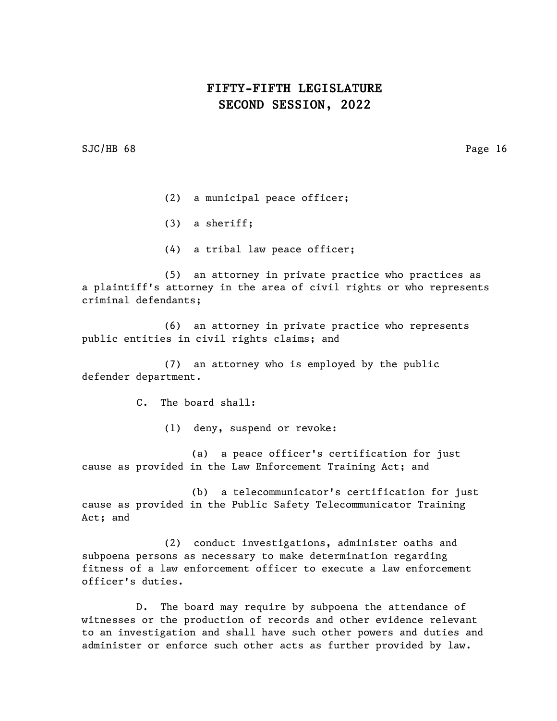SJC/HB 68 Page 16

- (2) a municipal peace officer;
- (3) a sheriff;
- (4) a tribal law peace officer;

(5) an attorney in private practice who practices as a plaintiff's attorney in the area of civil rights or who represents criminal defendants;

(6) an attorney in private practice who represents public entities in civil rights claims; and

(7) an attorney who is employed by the public defender department.

C. The board shall:

(1) deny, suspend or revoke:

(a) a peace officer's certification for just cause as provided in the Law Enforcement Training Act; and

(b) a telecommunicator's certification for just cause as provided in the Public Safety Telecommunicator Training Act; and

(2) conduct investigations, administer oaths and subpoena persons as necessary to make determination regarding fitness of a law enforcement officer to execute a law enforcement officer's duties.

D. The board may require by subpoena the attendance of witnesses or the production of records and other evidence relevant to an investigation and shall have such other powers and duties and administer or enforce such other acts as further provided by law.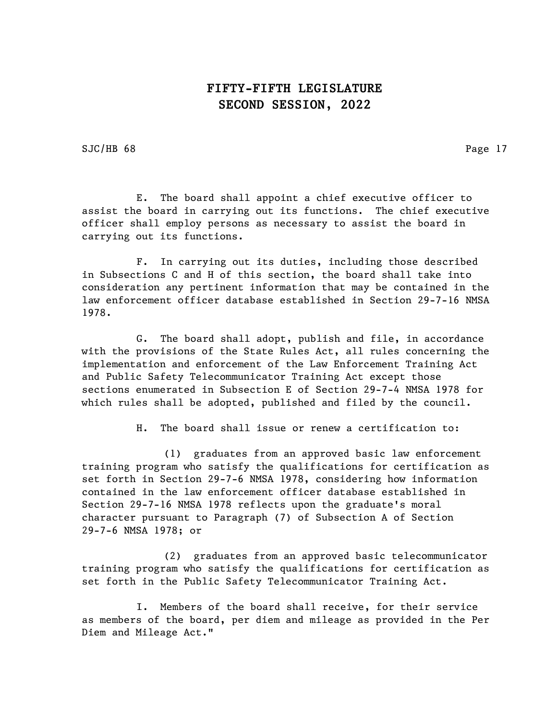SJC/HB 68 Page 17

E. The board shall appoint a chief executive officer to assist the board in carrying out its functions. The chief executive officer shall employ persons as necessary to assist the board in carrying out its functions.

F. In carrying out its duties, including those described in Subsections C and H of this section, the board shall take into consideration any pertinent information that may be contained in the law enforcement officer database established in Section 29-7-16 NMSA 1978.

G. The board shall adopt, publish and file, in accordance with the provisions of the State Rules Act, all rules concerning the implementation and enforcement of the Law Enforcement Training Act and Public Safety Telecommunicator Training Act except those sections enumerated in Subsection E of Section 29-7-4 NMSA 1978 for which rules shall be adopted, published and filed by the council.

H. The board shall issue or renew a certification to:

(1) graduates from an approved basic law enforcement training program who satisfy the qualifications for certification as set forth in Section 29-7-6 NMSA 1978, considering how information contained in the law enforcement officer database established in Section 29-7-16 NMSA 1978 reflects upon the graduate's moral character pursuant to Paragraph (7) of Subsection A of Section 29-7-6 NMSA 1978; or

(2) graduates from an approved basic telecommunicator training program who satisfy the qualifications for certification as set forth in the Public Safety Telecommunicator Training Act.

I. Members of the board shall receive, for their service as members of the board, per diem and mileage as provided in the Per Diem and Mileage Act."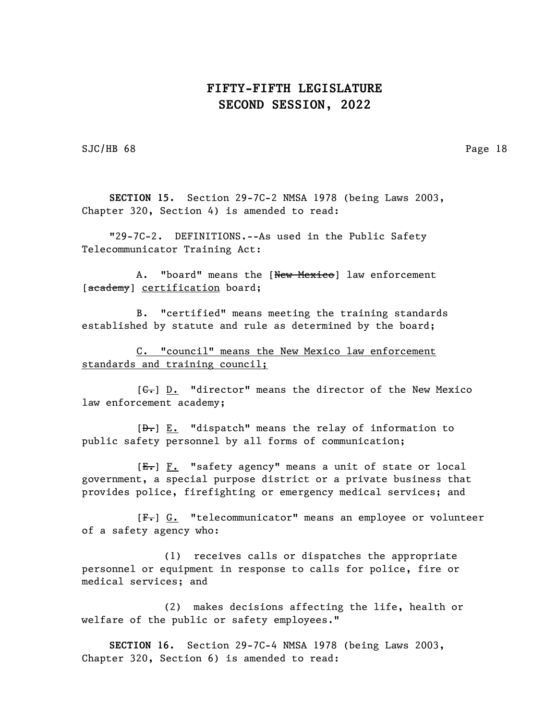SJC/HB 68 Page 18

SECTION 15. Section 29-7C-2 NMSA 1978 (being Laws 2003, Chapter 320, Section 4) is amended to read:

"29-7C-2. DEFINITIONS.--As used in the Public Safety Telecommunicator Training Act:

A. "board" means the [New Mexico] law enforcement [academy] certification board;

B. "certified" means meeting the training standards established by statute and rule as determined by the board;

C. "council" means the New Mexico law enforcement standards and training council;

 $[G_r]$  D. "director" means the director of the New Mexico law enforcement academy;

 $[\frac{D-1}{2}]$  E. "dispatch" means the relay of information to public safety personnel by all forms of communication;

[E.] F. "safety agency" means a unit of state or local government, a special purpose district or a private business that provides police, firefighting or emergency medical services; and

[F.] G. "telecommunicator" means an employee or volunteer of a safety agency who:

(1) receives calls or dispatches the appropriate personnel or equipment in response to calls for police, fire or medical services; and

(2) makes decisions affecting the life, health or welfare of the public or safety employees."

SECTION 16. Section 29-7C-4 NMSA 1978 (being Laws 2003, Chapter 320, Section 6) is amended to read: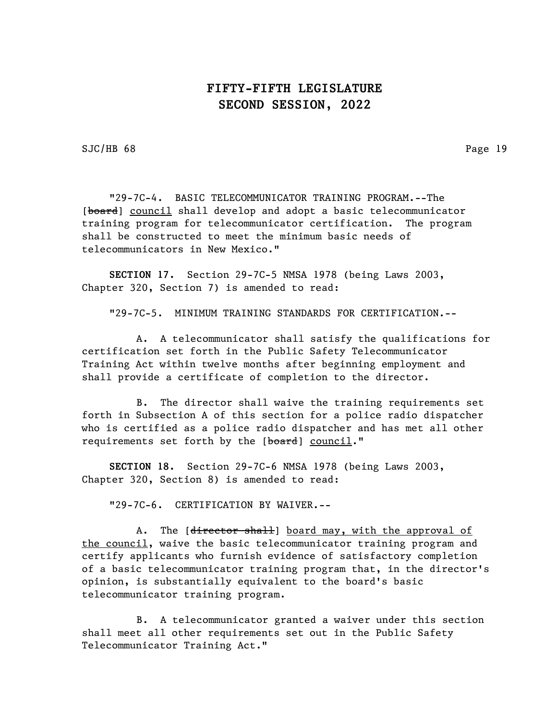SJC/HB 68 Page 19

"29-7C-4. BASIC TELECOMMUNICATOR TRAINING PROGRAM.--The [board] council shall develop and adopt a basic telecommunicator training program for telecommunicator certification. The program shall be constructed to meet the minimum basic needs of telecommunicators in New Mexico."

SECTION 17. Section 29-7C-5 NMSA 1978 (being Laws 2003, Chapter 320, Section 7) is amended to read:

"29-7C-5. MINIMUM TRAINING STANDARDS FOR CERTIFICATION.--

A. A telecommunicator shall satisfy the qualifications for certification set forth in the Public Safety Telecommunicator Training Act within twelve months after beginning employment and shall provide a certificate of completion to the director.

B. The director shall waive the training requirements set forth in Subsection A of this section for a police radio dispatcher who is certified as a police radio dispatcher and has met all other requirements set forth by the [board] council."

SECTION 18. Section 29-7C-6 NMSA 1978 (being Laws 2003, Chapter 320, Section 8) is amended to read:

"29-7C-6. CERTIFICATION BY WAIVER.--

A. The [director shall] board may, with the approval of the council, waive the basic telecommunicator training program and certify applicants who furnish evidence of satisfactory completion of a basic telecommunicator training program that, in the director's opinion, is substantially equivalent to the board's basic telecommunicator training program.

B. A telecommunicator granted a waiver under this section shall meet all other requirements set out in the Public Safety Telecommunicator Training Act."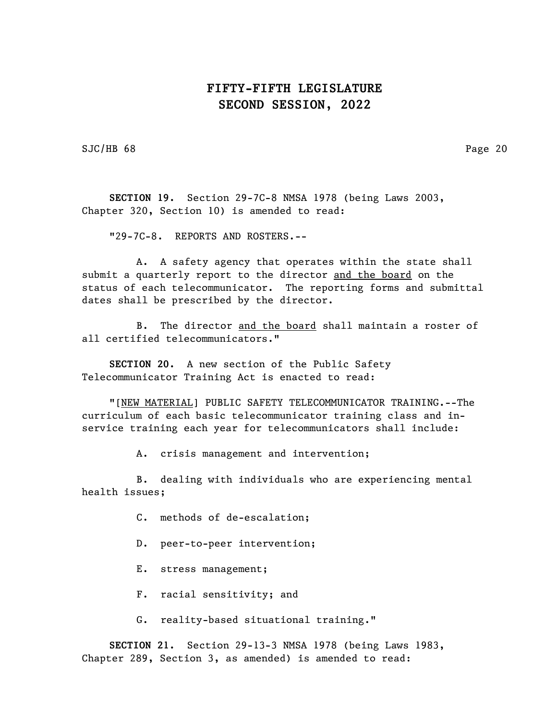SJC/HB 68 Page 20

SECTION 19. Section 29-7C-8 NMSA 1978 (being Laws 2003, Chapter 320, Section 10) is amended to read:

"29-7C-8. REPORTS AND ROSTERS.--

A. A safety agency that operates within the state shall submit a quarterly report to the director and the board on the status of each telecommunicator. The reporting forms and submittal dates shall be prescribed by the director.

B. The director and the board shall maintain a roster of all certified telecommunicators."

SECTION 20. A new section of the Public Safety Telecommunicator Training Act is enacted to read:

"[NEW MATERIAL] PUBLIC SAFETY TELECOMMUNICATOR TRAINING.--The curriculum of each basic telecommunicator training class and inservice training each year for telecommunicators shall include:

A. crisis management and intervention;

B. dealing with individuals who are experiencing mental health issues;

- C. methods of de-escalation;
- D. peer-to-peer intervention;
- E. stress management;
- F. racial sensitivity; and
- G. reality-based situational training."

SECTION 21. Section 29-13-3 NMSA 1978 (being Laws 1983, Chapter 289, Section 3, as amended) is amended to read: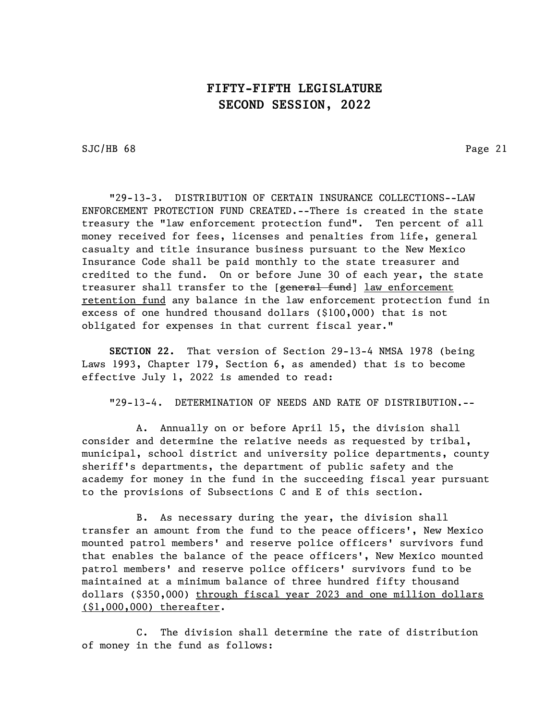SJC/HB 68 Page 21

"29-13-3. DISTRIBUTION OF CERTAIN INSURANCE COLLECTIONS--LAW ENFORCEMENT PROTECTION FUND CREATED.--There is created in the state treasury the "law enforcement protection fund". Ten percent of all money received for fees, licenses and penalties from life, general casualty and title insurance business pursuant to the New Mexico Insurance Code shall be paid monthly to the state treasurer and credited to the fund. On or before June 30 of each year, the state treasurer shall transfer to the [general fund] law enforcement retention fund any balance in the law enforcement protection fund in excess of one hundred thousand dollars (\$100,000) that is not obligated for expenses in that current fiscal year."

SECTION 22. That version of Section 29-13-4 NMSA 1978 (being Laws 1993, Chapter 179, Section 6, as amended) that is to become effective July 1, 2022 is amended to read:

"29-13-4. DETERMINATION OF NEEDS AND RATE OF DISTRIBUTION.--

A. Annually on or before April 15, the division shall consider and determine the relative needs as requested by tribal, municipal, school district and university police departments, county sheriff's departments, the department of public safety and the academy for money in the fund in the succeeding fiscal year pursuant to the provisions of Subsections C and E of this section.

B. As necessary during the year, the division shall transfer an amount from the fund to the peace officers', New Mexico mounted patrol members' and reserve police officers' survivors fund that enables the balance of the peace officers', New Mexico mounted patrol members' and reserve police officers' survivors fund to be maintained at a minimum balance of three hundred fifty thousand dollars (\$350,000) through fiscal year 2023 and one million dollars (\$1,000,000) thereafter.

C. The division shall determine the rate of distribution of money in the fund as follows: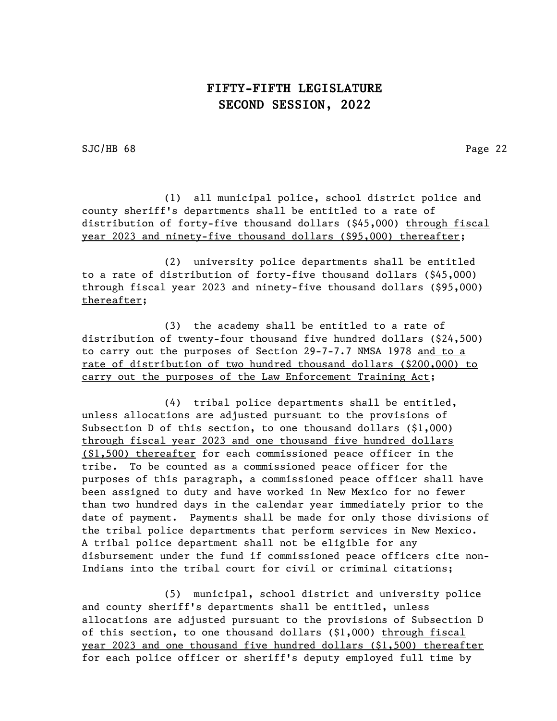SJC/HB 68 Page 22

(1) all municipal police, school district police and county sheriff's departments shall be entitled to a rate of distribution of forty-five thousand dollars (\$45,000) through fiscal year 2023 and ninety-five thousand dollars (\$95,000) thereafter;

(2) university police departments shall be entitled to a rate of distribution of forty-five thousand dollars (\$45,000) through fiscal year 2023 and ninety-five thousand dollars (\$95,000) thereafter;

(3) the academy shall be entitled to a rate of distribution of twenty-four thousand five hundred dollars (\$24,500) to carry out the purposes of Section 29-7-7.7 NMSA 1978 and to a rate of distribution of two hundred thousand dollars (\$200,000) to carry out the purposes of the Law Enforcement Training Act;

(4) tribal police departments shall be entitled, unless allocations are adjusted pursuant to the provisions of Subsection D of this section, to one thousand dollars (\$1,000) through fiscal year 2023 and one thousand five hundred dollars (\$1,500) thereafter for each commissioned peace officer in the tribe. To be counted as a commissioned peace officer for the purposes of this paragraph, a commissioned peace officer shall have been assigned to duty and have worked in New Mexico for no fewer than two hundred days in the calendar year immediately prior to the date of payment. Payments shall be made for only those divisions of the tribal police departments that perform services in New Mexico. A tribal police department shall not be eligible for any disbursement under the fund if commissioned peace officers cite non-Indians into the tribal court for civil or criminal citations;

(5) municipal, school district and university police and county sheriff's departments shall be entitled, unless allocations are adjusted pursuant to the provisions of Subsection D of this section, to one thousand dollars (\$1,000) through fiscal year 2023 and one thousand five hundred dollars (\$1,500) thereafter for each police officer or sheriff's deputy employed full time by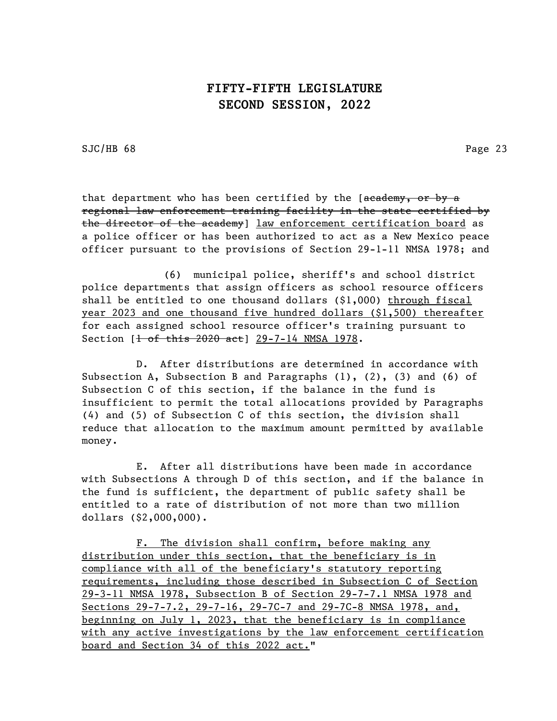SJC/HB 68 Page 23

that department who has been certified by the [academy, or by a regional law enforcement training facility in the state certified by the director of the academy) law enforcement certification board as a police officer or has been authorized to act as a New Mexico peace officer pursuant to the provisions of Section 29-1-11 NMSA 1978; and

(6) municipal police, sheriff's and school district police departments that assign officers as school resource officers shall be entitled to one thousand dollars (\$1,000) through fiscal year 2023 and one thousand five hundred dollars (\$1,500) thereafter for each assigned school resource officer's training pursuant to Section  $[\frac{1 - of - this - 2020 - act}{29 - 7 - 14}$  NMSA 1978.

D. After distributions are determined in accordance with Subsection A, Subsection B and Paragraphs  $(1)$ ,  $(2)$ ,  $(3)$  and  $(6)$  of Subsection C of this section, if the balance in the fund is insufficient to permit the total allocations provided by Paragraphs (4) and (5) of Subsection C of this section, the division shall reduce that allocation to the maximum amount permitted by available money.

E. After all distributions have been made in accordance with Subsections A through D of this section, and if the balance in the fund is sufficient, the department of public safety shall be entitled to a rate of distribution of not more than two million dollars (\$2,000,000).

F. The division shall confirm, before making any distribution under this section, that the beneficiary is in compliance with all of the beneficiary's statutory reporting requirements, including those described in Subsection C of Section 29-3-11 NMSA 1978, Subsection B of Section 29-7-7.1 NMSA 1978 and Sections 29-7-7.2, 29-7-16, 29-7C-7 and 29-7C-8 NMSA 1978, and, beginning on July 1, 2023, that the beneficiary is in compliance with any active investigations by the law enforcement certification board and Section 34 of this 2022 act."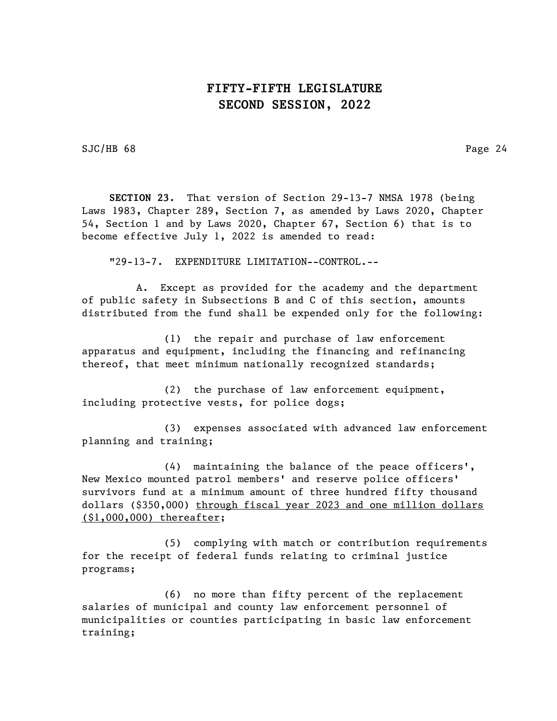SJC/HB 68 Page 24

SECTION 23. That version of Section 29-13-7 NMSA 1978 (being Laws 1983, Chapter 289, Section 7, as amended by Laws 2020, Chapter 54, Section 1 and by Laws 2020, Chapter 67, Section 6) that is to become effective July 1, 2022 is amended to read:

"29-13-7. EXPENDITURE LIMITATION--CONTROL.--

A. Except as provided for the academy and the department of public safety in Subsections B and C of this section, amounts distributed from the fund shall be expended only for the following:

(1) the repair and purchase of law enforcement apparatus and equipment, including the financing and refinancing thereof, that meet minimum nationally recognized standards;

(2) the purchase of law enforcement equipment, including protective vests, for police dogs;

(3) expenses associated with advanced law enforcement planning and training;

(4) maintaining the balance of the peace officers', New Mexico mounted patrol members' and reserve police officers' survivors fund at a minimum amount of three hundred fifty thousand dollars (\$350,000) through fiscal year 2023 and one million dollars (\$1,000,000) thereafter;

(5) complying with match or contribution requirements for the receipt of federal funds relating to criminal justice programs;

(6) no more than fifty percent of the replacement salaries of municipal and county law enforcement personnel of municipalities or counties participating in basic law enforcement training;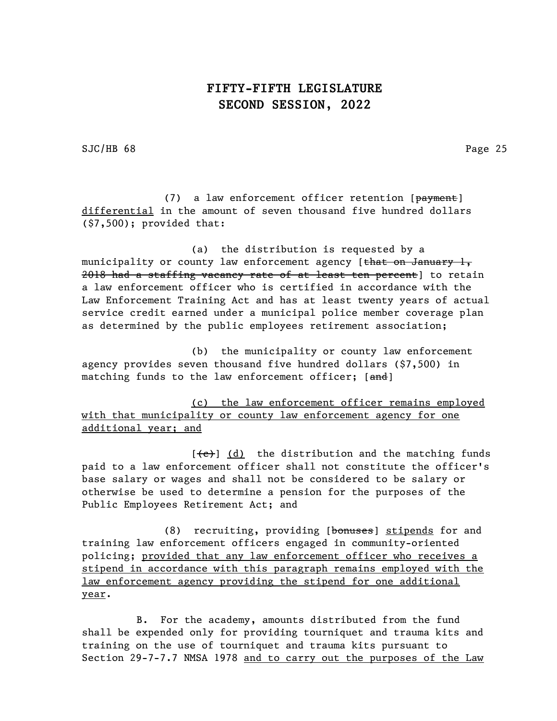SJC/HB 68 Page 25

(7) a law enforcement officer retention [payment] differential in the amount of seven thousand five hundred dollars (\$7,500); provided that:

(a) the distribution is requested by a municipality or county law enforcement agency [that on January 1, 2018 had a staffing vacancy rate of at least ten percent] to retain a law enforcement officer who is certified in accordance with the Law Enforcement Training Act and has at least twenty years of actual service credit earned under a municipal police member coverage plan as determined by the public employees retirement association;

(b) the municipality or county law enforcement agency provides seven thousand five hundred dollars (\$7,500) in matching funds to the law enforcement officer; [and]

(c) the law enforcement officer remains employed with that municipality or county law enforcement agency for one additional year; and

 $[\text{+e}^{\text{+e}}]$  (d) the distribution and the matching funds paid to a law enforcement officer shall not constitute the officer's base salary or wages and shall not be considered to be salary or otherwise be used to determine a pension for the purposes of the Public Employees Retirement Act; and

(8) recruiting, providing [bonuses] stipends for and training law enforcement officers engaged in community-oriented policing; provided that any law enforcement officer who receives a stipend in accordance with this paragraph remains employed with the law enforcement agency providing the stipend for one additional year.

B. For the academy, amounts distributed from the fund shall be expended only for providing tourniquet and trauma kits and training on the use of tourniquet and trauma kits pursuant to Section 29-7-7.7 NMSA 1978 and to carry out the purposes of the Law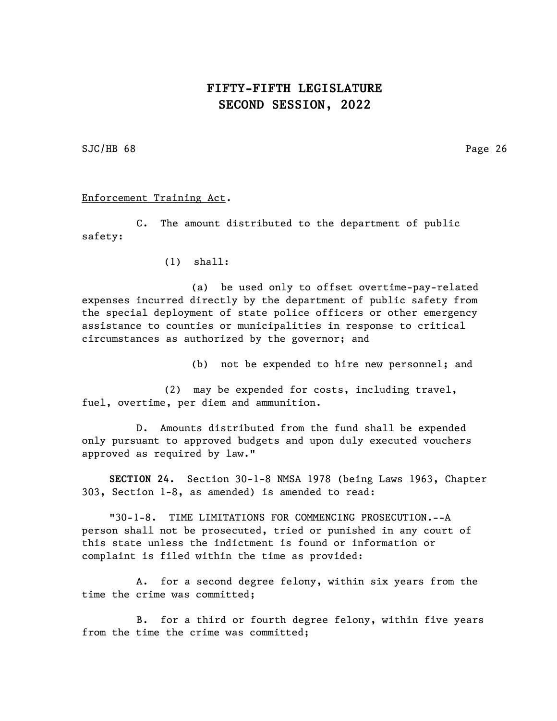SJC/HB 68 Page 26

#### Enforcement Training Act.

C. The amount distributed to the department of public safety:

(1) shall:

(a) be used only to offset overtime-pay-related expenses incurred directly by the department of public safety from the special deployment of state police officers or other emergency assistance to counties or municipalities in response to critical circumstances as authorized by the governor; and

(b) not be expended to hire new personnel; and

(2) may be expended for costs, including travel, fuel, overtime, per diem and ammunition.

D. Amounts distributed from the fund shall be expended only pursuant to approved budgets and upon duly executed vouchers approved as required by law."

SECTION 24. Section 30-1-8 NMSA 1978 (being Laws 1963, Chapter 303, Section 1-8, as amended) is amended to read:

"30-1-8. TIME LIMITATIONS FOR COMMENCING PROSECUTION.--A person shall not be prosecuted, tried or punished in any court of this state unless the indictment is found or information or complaint is filed within the time as provided:

A. for a second degree felony, within six years from the time the crime was committed;

B. for a third or fourth degree felony, within five years from the time the crime was committed;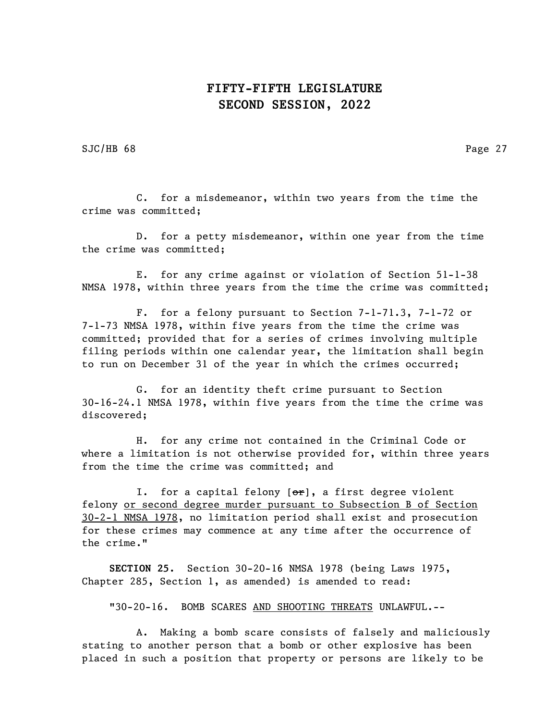SJC/HB 68 Page 27

C. for a misdemeanor, within two years from the time the crime was committed;

D. for a petty misdemeanor, within one year from the time the crime was committed;

E. for any crime against or violation of Section 51-1-38 NMSA 1978, within three years from the time the crime was committed;

F. for a felony pursuant to Section 7-1-71.3, 7-1-72 or 7-1-73 NMSA 1978, within five years from the time the crime was committed; provided that for a series of crimes involving multiple filing periods within one calendar year, the limitation shall begin to run on December 31 of the year in which the crimes occurred;

G. for an identity theft crime pursuant to Section 30-16-24.1 NMSA 1978, within five years from the time the crime was discovered;

H. for any crime not contained in the Criminal Code or where a limitation is not otherwise provided for, within three years from the time the crime was committed; and

I. for a capital felony  $[ $\theta$  r]$ , a first degree violent felony or second degree murder pursuant to Subsection B of Section 30-2-1 NMSA 1978, no limitation period shall exist and prosecution for these crimes may commence at any time after the occurrence of the crime."

SECTION 25. Section 30-20-16 NMSA 1978 (being Laws 1975, Chapter 285, Section 1, as amended) is amended to read:

"30-20-16. BOMB SCARES AND SHOOTING THREATS UNLAWFUL.--

A. Making a bomb scare consists of falsely and maliciously stating to another person that a bomb or other explosive has been placed in such a position that property or persons are likely to be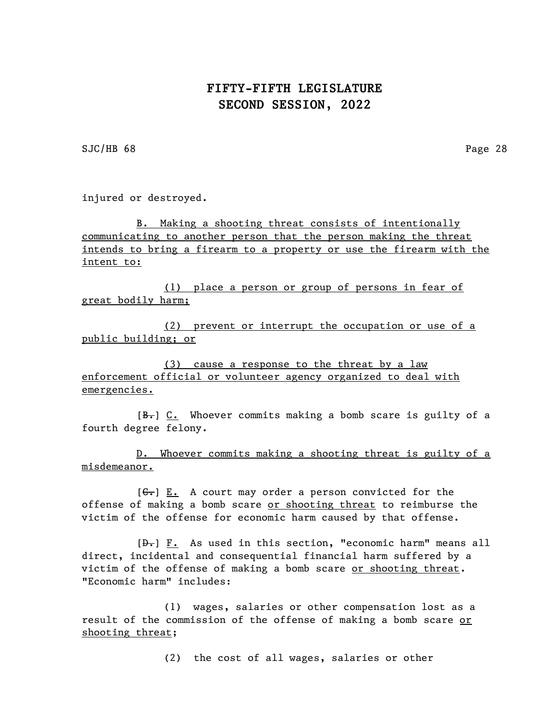SJC/HB 68 Page 28

injured or destroyed.

B. Making a shooting threat consists of intentionally communicating to another person that the person making the threat intends to bring a firearm to a property or use the firearm with the intent to:

(1) place a person or group of persons in fear of great bodily harm;

(2) prevent or interrupt the occupation or use of a public building; or

(3) cause a response to the threat by a law enforcement official or volunteer agency organized to deal with emergencies.

[B.] C. Whoever commits making a bomb scare is guilty of a fourth degree felony.

D. Whoever commits making a shooting threat is guilty of a misdemeanor.

 $[G_{\bullet}]$  E. A court may order a person convicted for the offense of making a bomb scare or shooting threat to reimburse the victim of the offense for economic harm caused by that offense.

 $[\frac{D-1}{2}]$   $\frac{F}{2}$ . As used in this section, "economic harm" means all direct, incidental and consequential financial harm suffered by a victim of the offense of making a bomb scare or shooting threat. "Economic harm" includes:

(1) wages, salaries or other compensation lost as a result of the commission of the offense of making a bomb scare or shooting threat;

(2) the cost of all wages, salaries or other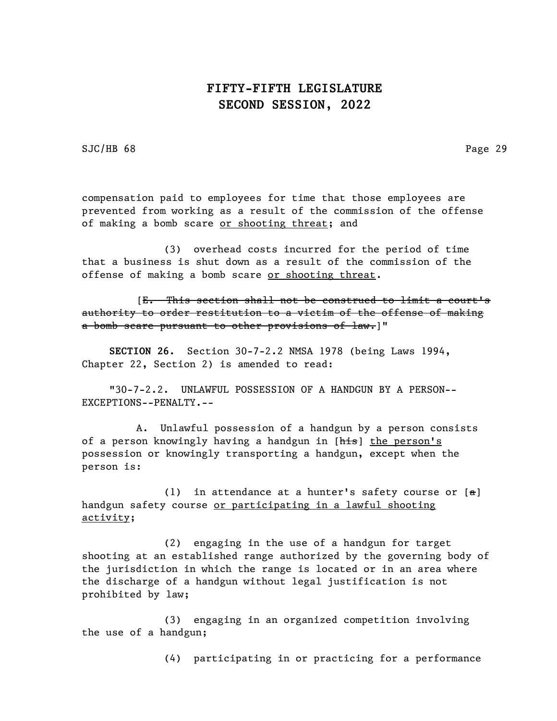SJC/HB 68 Page 29

compensation paid to employees for time that those employees are prevented from working as a result of the commission of the offense of making a bomb scare or shooting threat; and

(3) overhead costs incurred for the period of time that a business is shut down as a result of the commission of the offense of making a bomb scare or shooting threat.

[E. This section shall not be construed to limit a court's authority to order restitution to a victim of the offense of making a bomb scare pursuant to other provisions of law.]"

SECTION 26. Section 30-7-2.2 NMSA 1978 (being Laws 1994, Chapter 22, Section 2) is amended to read:

"30-7-2.2. UNLAWFUL POSSESSION OF A HANDGUN BY A PERSON-- EXCEPTIONS--PENALTY.--

A. Unlawful possession of a handgun by a person consists of a person knowingly having a handgun in [his] the person's possession or knowingly transporting a handgun, except when the person is:

(1) in attendance at a hunter's safety course or  $[a]$ handgun safety course or participating in a lawful shooting activity;

(2) engaging in the use of a handgun for target shooting at an established range authorized by the governing body of the jurisdiction in which the range is located or in an area where the discharge of a handgun without legal justification is not prohibited by law;

(3) engaging in an organized competition involving the use of a handgun;

(4) participating in or practicing for a performance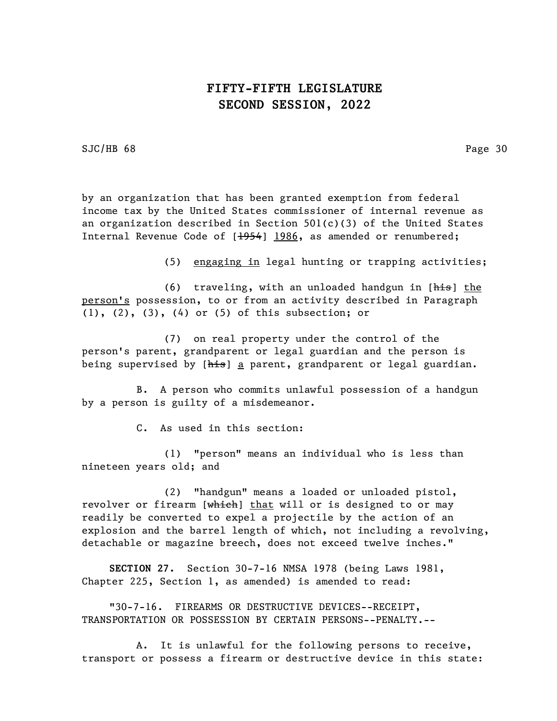SJC/HB 68 Page 30

by an organization that has been granted exemption from federal income tax by the United States commissioner of internal revenue as an organization described in Section  $501(c)(3)$  of the United States Internal Revenue Code of [1954] 1986, as amended or renumbered;

(5) engaging in legal hunting or trapping activities;

(6) traveling, with an unloaded handgun in  $[\frac{h}{h}$  the person's possession, to or from an activity described in Paragraph (1), (2), (3), (4) or (5) of this subsection; or

(7) on real property under the control of the person's parent, grandparent or legal guardian and the person is being supervised by [his] a parent, grandparent or legal guardian.

B. A person who commits unlawful possession of a handgun by a person is guilty of a misdemeanor.

C. As used in this section:

(1) "person" means an individual who is less than nineteen years old; and

(2) "handgun" means a loaded or unloaded pistol, revolver or firearm [which] that will or is designed to or may readily be converted to expel a projectile by the action of an explosion and the barrel length of which, not including a revolving, detachable or magazine breech, does not exceed twelve inches."

SECTION 27. Section 30-7-16 NMSA 1978 (being Laws 1981, Chapter 225, Section 1, as amended) is amended to read:

"30-7-16. FIREARMS OR DESTRUCTIVE DEVICES--RECEIPT, TRANSPORTATION OR POSSESSION BY CERTAIN PERSONS--PENALTY.--

A. It is unlawful for the following persons to receive, transport or possess a firearm or destructive device in this state: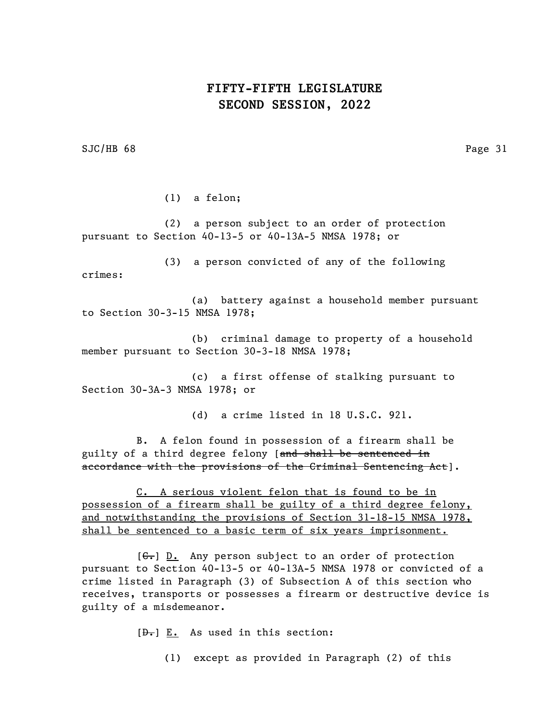SJC/HB 68 Page 31

(1) a felon;

(2) a person subject to an order of protection pursuant to Section 40-13-5 or 40-13A-5 NMSA 1978; or

(3) a person convicted of any of the following crimes:

(a) battery against a household member pursuant to Section 30-3-15 NMSA 1978;

(b) criminal damage to property of a household member pursuant to Section 30-3-18 NMSA 1978;

(c) a first offense of stalking pursuant to Section 30-3A-3 NMSA 1978; or

(d) a crime listed in 18 U.S.C. 921.

B. A felon found in possession of a firearm shall be guilty of a third degree felony [and shall be sentenced in accordance with the provisions of the Criminal Sentencing Act].

C. A serious violent felon that is found to be in possession of a firearm shall be guilty of a third degree felony, and notwithstanding the provisions of Section 31-18-15 NMSA 1978, shall be sentenced to a basic term of six years imprisonment.

 $[G<sub>r</sub>]$  D. Any person subject to an order of protection pursuant to Section 40-13-5 or 40-13A-5 NMSA 1978 or convicted of a crime listed in Paragraph (3) of Subsection A of this section who receives, transports or possesses a firearm or destructive device is guilty of a misdemeanor.

 $[\frac{\theta}{\theta}]$  E. As used in this section:

(1) except as provided in Paragraph (2) of this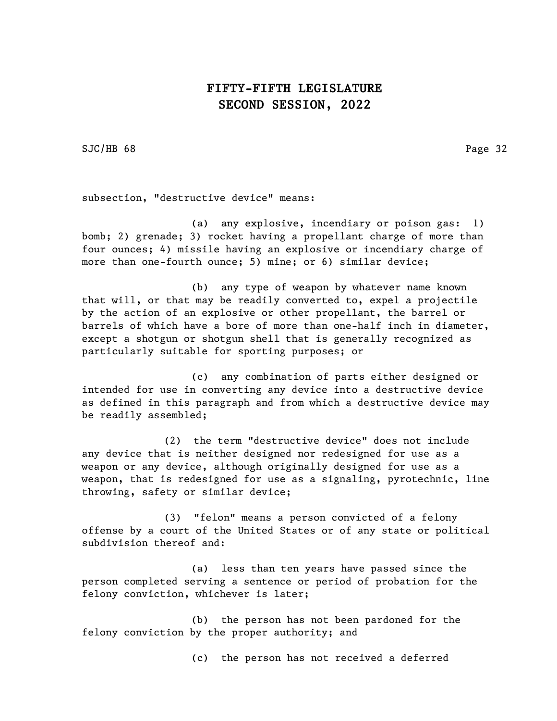SJC/HB 68 Page 32

subsection, "destructive device" means:

(a) any explosive, incendiary or poison gas: 1) bomb; 2) grenade; 3) rocket having a propellant charge of more than four ounces; 4) missile having an explosive or incendiary charge of more than one-fourth ounce; 5) mine; or 6) similar device;

(b) any type of weapon by whatever name known that will, or that may be readily converted to, expel a projectile by the action of an explosive or other propellant, the barrel or barrels of which have a bore of more than one-half inch in diameter, except a shotgun or shotgun shell that is generally recognized as particularly suitable for sporting purposes; or

(c) any combination of parts either designed or intended for use in converting any device into a destructive device as defined in this paragraph and from which a destructive device may be readily assembled;

(2) the term "destructive device" does not include any device that is neither designed nor redesigned for use as a weapon or any device, although originally designed for use as a weapon, that is redesigned for use as a signaling, pyrotechnic, line throwing, safety or similar device;

(3) "felon" means a person convicted of a felony offense by a court of the United States or of any state or political subdivision thereof and:

(a) less than ten years have passed since the person completed serving a sentence or period of probation for the felony conviction, whichever is later;

(b) the person has not been pardoned for the felony conviction by the proper authority; and

(c) the person has not received a deferred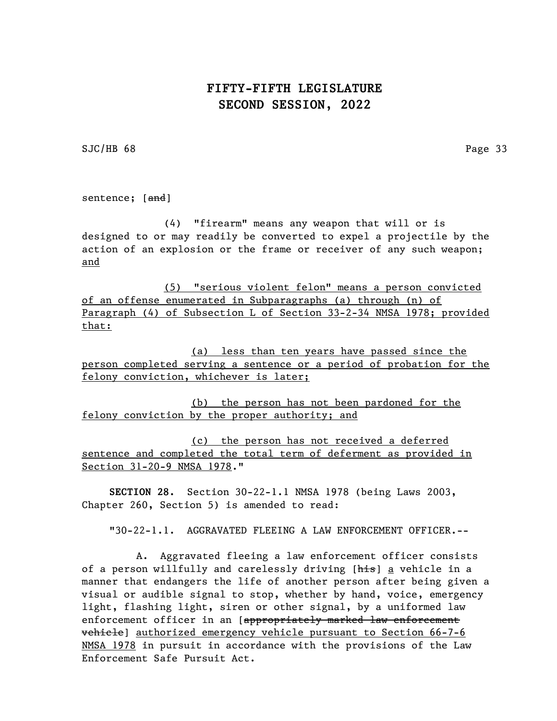SJC/HB 68 Page 33

sentence; [<del>and</del>]

(4) "firearm" means any weapon that will or is designed to or may readily be converted to expel a projectile by the action of an explosion or the frame or receiver of any such weapon; and

(5) "serious violent felon" means a person convicted of an offense enumerated in Subparagraphs (a) through (n) of Paragraph (4) of Subsection L of Section 33-2-34 NMSA 1978; provided that:

(a) less than ten years have passed since the person completed serving a sentence or a period of probation for the felony conviction, whichever is later;

(b) the person has not been pardoned for the felony conviction by the proper authority; and

(c) the person has not received a deferred sentence and completed the total term of deferment as provided in Section 31-20-9 NMSA 1978."

SECTION 28. Section 30-22-1.1 NMSA 1978 (being Laws 2003, Chapter 260, Section 5) is amended to read:

"30-22-1.1. AGGRAVATED FLEEING A LAW ENFORCEMENT OFFICER.--

A. Aggravated fleeing a law enforcement officer consists of a person willfully and carelessly driving [his] a vehicle in a manner that endangers the life of another person after being given a visual or audible signal to stop, whether by hand, voice, emergency light, flashing light, siren or other signal, by a uniformed law enforcement officer in an [appropriately marked law enforcement vehicle] authorized emergency vehicle pursuant to Section 66-7-6 NMSA 1978 in pursuit in accordance with the provisions of the Law Enforcement Safe Pursuit Act.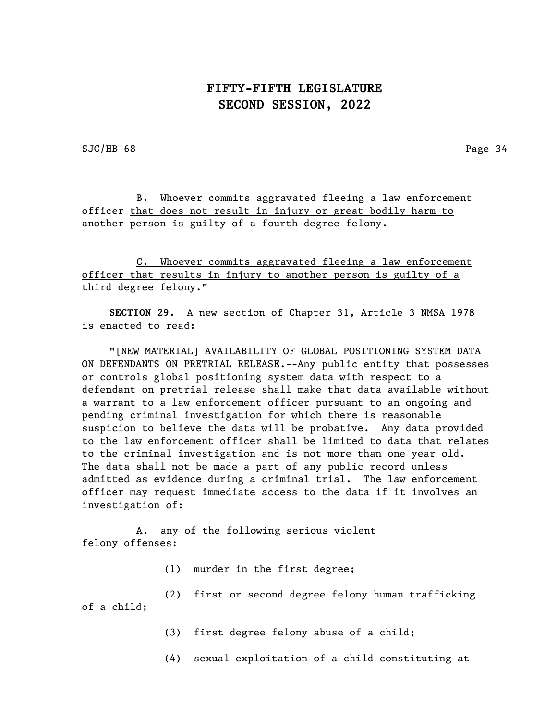SJC/HB 68 Page 34

B. Whoever commits aggravated fleeing a law enforcement officer that does not result in injury or great bodily harm to another person is guilty of a fourth degree felony.

C. Whoever commits aggravated fleeing a law enforcement officer that results in injury to another person is guilty of a third degree felony."

SECTION 29. A new section of Chapter 31, Article 3 NMSA 1978 is enacted to read:

"[NEW MATERIAL] AVAILABILITY OF GLOBAL POSITIONING SYSTEM DATA ON DEFENDANTS ON PRETRIAL RELEASE.--Any public entity that possesses or controls global positioning system data with respect to a defendant on pretrial release shall make that data available without a warrant to a law enforcement officer pursuant to an ongoing and pending criminal investigation for which there is reasonable suspicion to believe the data will be probative. Any data provided to the law enforcement officer shall be limited to data that relates to the criminal investigation and is not more than one year old. The data shall not be made a part of any public record unless admitted as evidence during a criminal trial. The law enforcement officer may request immediate access to the data if it involves an investigation of:

A. any of the following serious violent felony offenses:

(1) murder in the first degree;

(2) first or second degree felony human trafficking of a child;

- (3) first degree felony abuse of a child;
- (4) sexual exploitation of a child constituting at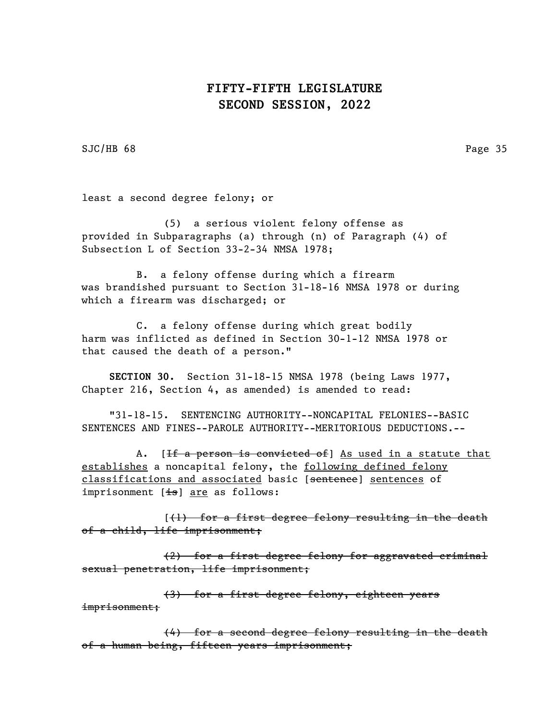SJC/HB 68 Page 35

least a second degree felony; or

(5) a serious violent felony offense as provided in Subparagraphs (a) through (n) of Paragraph (4) of Subsection L of Section 33-2-34 NMSA 1978;

B. a felony offense during which a firearm was brandished pursuant to Section 31-18-16 NMSA 1978 or during which a firearm was discharged; or

C. a felony offense during which great bodily harm was inflicted as defined in Section 30-1-12 NMSA 1978 or that caused the death of a person."

SECTION 30. Section 31-18-15 NMSA 1978 (being Laws 1977, Chapter 216, Section 4, as amended) is amended to read:

"31-18-15. SENTENCING AUTHORITY--NONCAPITAL FELONIES--BASIC SENTENCES AND FINES--PAROLE AUTHORITY--MERITORIOUS DEDUCTIONS.--

A. [<del>If a person is convicted of</del>] As used in a statute that establishes a noncapital felony, the following defined felony classifications and associated basic [sentence] sentences of imprisonment  $[is]$  are as follows:

 $(1)$  for a first degree felony resulting in the death of a child, life imprisonment;

(2) for a first degree felony for aggravated criminal sexual penetration, life imprisonment;

(3) for a first degree felony, eighteen years imprisonment;

(4) for a second degree felony resulting in the death of a human being, fifteen years imprisonment;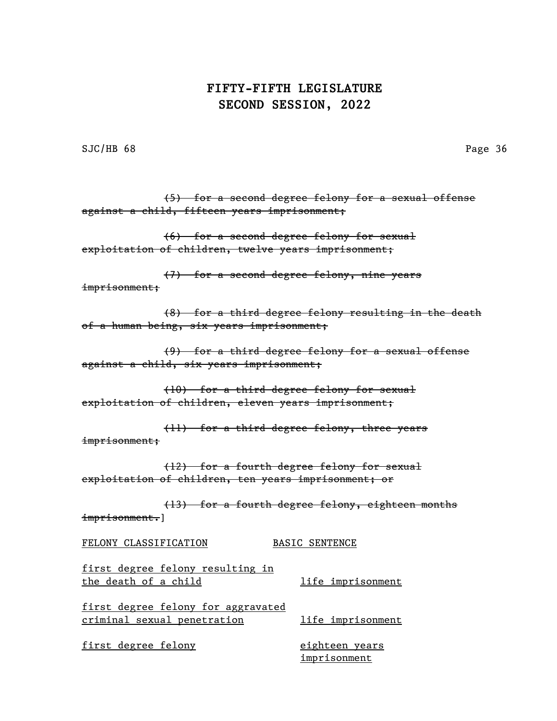SJC/HB 68 Page 36

(5) for a second degree felony for a sexual offense against a child, fifteen years imprisonment;

(6) for a second degree felony for sexual exploitation of children, twelve years imprisonment;

(7) for a second degree felony, nine years

imprisonment;

(8) for a third degree felony resulting in the death of a human being, six years imprisonment;

(9) for a third degree felony for a sexual offense against a child, six years imprisonment;

(10) for a third degree felony for sexual exploitation of children, eleven years imprisonment;

(11) for a third degree felony, three years imprisonment;

(12) for a fourth degree felony for sexual exploitation of children, ten years imprisonment; or

(13) for a fourth degree felony, eighteen months imprisonment.]

FELONY CLASSIFICATION BASIC SENTENCE

first degree felony resulting in the death of a child and life imprisonment

first degree felony for aggravated criminal sexual penetration life imprisonment

first degree felony eighteen years

imprisonment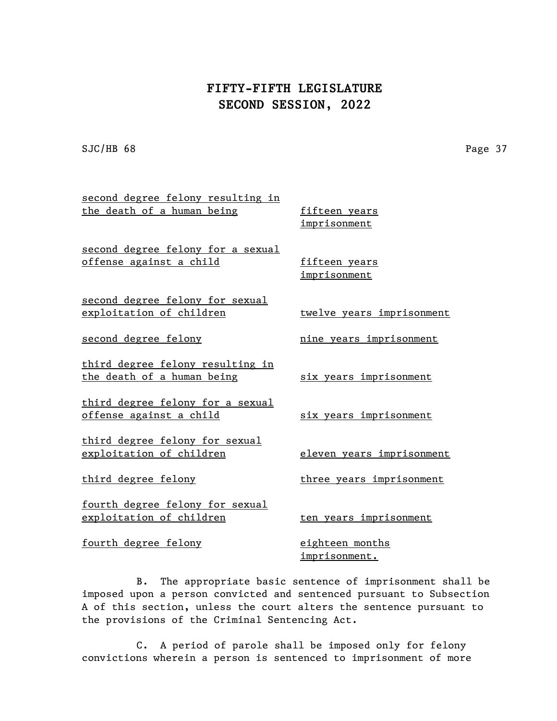SJC/HB 68 Page 37

| second degree felony resulting in |                           |
|-----------------------------------|---------------------------|
| the death of a human being        | fifteen years             |
|                                   | imprisonment              |
| second degree felony for a sexual |                           |
| offense against a child           | fifteen years             |
|                                   | imprisonment              |
|                                   |                           |
| second degree felony for sexual   |                           |
| exploitation of children          | twelve years imprisonment |
| second degree felony              |                           |
|                                   | nine years imprisonment   |
| third degree felony resulting in  |                           |
| the death of a human being        | six years imprisonment    |
|                                   |                           |
| third degree felony for a sexual  |                           |
| offense against a child           | six years imprisonment    |
| third degree felony for sexual    |                           |
| exploitation of children          | eleven years imprisonment |
|                                   |                           |
| third degree felony               | three years imprisonment  |
|                                   |                           |
| fourth degree felony for sexual   |                           |
| exploitation of children          | ten years imprisonment    |
| <u>fourth degree felony</u>       | eighteen months           |
|                                   | imprisonment.             |
|                                   |                           |

B. The appropriate basic sentence of imprisonment shall be imposed upon a person convicted and sentenced pursuant to Subsection A of this section, unless the court alters the sentence pursuant to the provisions of the Criminal Sentencing Act.

C. A period of parole shall be imposed only for felony convictions wherein a person is sentenced to imprisonment of more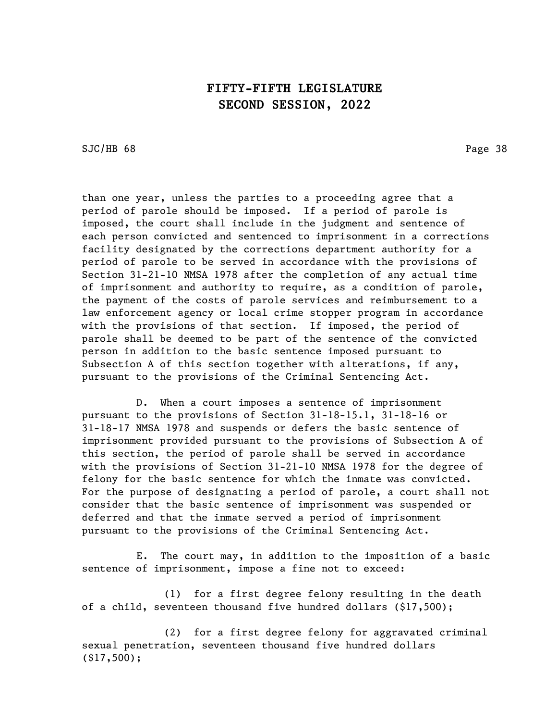SJC/HB 68 Page 38

than one year, unless the parties to a proceeding agree that a period of parole should be imposed. If a period of parole is imposed, the court shall include in the judgment and sentence of each person convicted and sentenced to imprisonment in a corrections facility designated by the corrections department authority for a period of parole to be served in accordance with the provisions of Section 31-21-10 NMSA 1978 after the completion of any actual time of imprisonment and authority to require, as a condition of parole, the payment of the costs of parole services and reimbursement to a law enforcement agency or local crime stopper program in accordance with the provisions of that section. If imposed, the period of parole shall be deemed to be part of the sentence of the convicted person in addition to the basic sentence imposed pursuant to Subsection A of this section together with alterations, if any, pursuant to the provisions of the Criminal Sentencing Act.

D. When a court imposes a sentence of imprisonment pursuant to the provisions of Section 31-18-15.1, 31-18-16 or 31-18-17 NMSA 1978 and suspends or defers the basic sentence of imprisonment provided pursuant to the provisions of Subsection A of this section, the period of parole shall be served in accordance with the provisions of Section 31-21-10 NMSA 1978 for the degree of felony for the basic sentence for which the inmate was convicted. For the purpose of designating a period of parole, a court shall not consider that the basic sentence of imprisonment was suspended or deferred and that the inmate served a period of imprisonment pursuant to the provisions of the Criminal Sentencing Act.

E. The court may, in addition to the imposition of a basic sentence of imprisonment, impose a fine not to exceed:

(1) for a first degree felony resulting in the death of a child, seventeen thousand five hundred dollars (\$17,500);

(2) for a first degree felony for aggravated criminal sexual penetration, seventeen thousand five hundred dollars (\$17,500);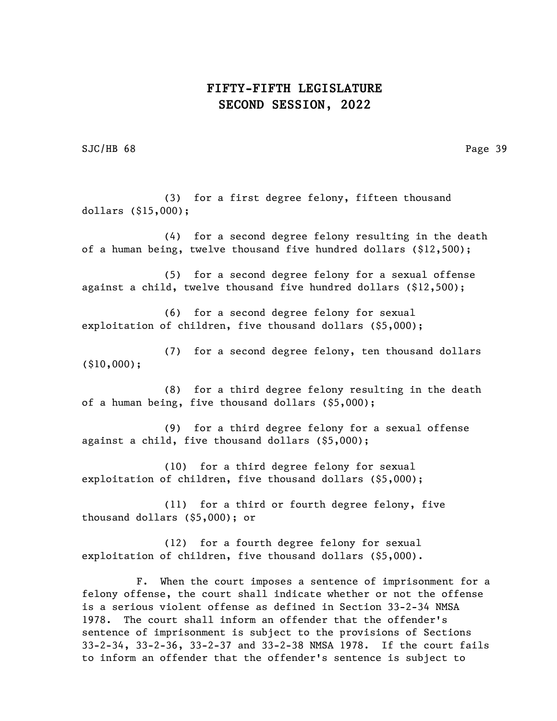SJC/HB 68 Page 39

(3) for a first degree felony, fifteen thousand dollars (\$15,000);

(4) for a second degree felony resulting in the death of a human being, twelve thousand five hundred dollars (\$12,500);

(5) for a second degree felony for a sexual offense against a child, twelve thousand five hundred dollars (\$12,500);

(6) for a second degree felony for sexual exploitation of children, five thousand dollars (\$5,000);

(7) for a second degree felony, ten thousand dollars (\$10,000);

(8) for a third degree felony resulting in the death of a human being, five thousand dollars (\$5,000);

(9) for a third degree felony for a sexual offense against a child, five thousand dollars (\$5,000);

(10) for a third degree felony for sexual exploitation of children, five thousand dollars (\$5,000);

(11) for a third or fourth degree felony, five thousand dollars (\$5,000); or

(12) for a fourth degree felony for sexual exploitation of children, five thousand dollars (\$5,000).

F. When the court imposes a sentence of imprisonment for a felony offense, the court shall indicate whether or not the offense is a serious violent offense as defined in Section 33-2-34 NMSA 1978. The court shall inform an offender that the offender's sentence of imprisonment is subject to the provisions of Sections 33-2-34, 33-2-36, 33-2-37 and 33-2-38 NMSA 1978. If the court fails to inform an offender that the offender's sentence is subject to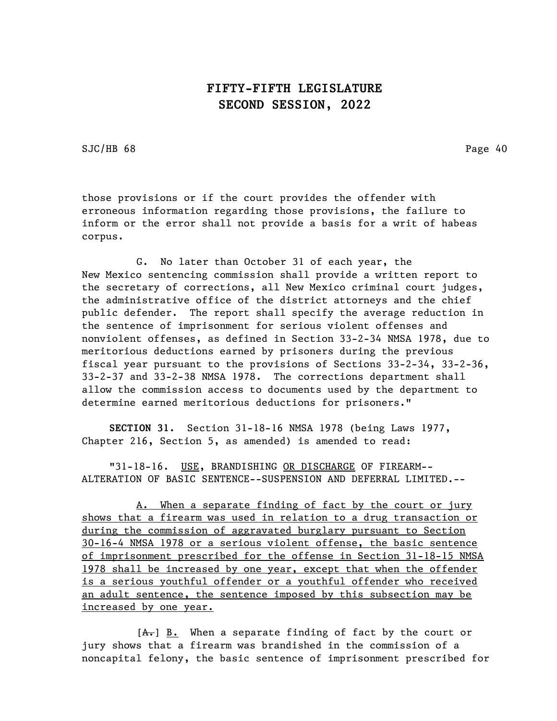SJC/HB 68 Page 40

those provisions or if the court provides the offender with erroneous information regarding those provisions, the failure to inform or the error shall not provide a basis for a writ of habeas corpus.

G. No later than October 31 of each year, the New Mexico sentencing commission shall provide a written report to the secretary of corrections, all New Mexico criminal court judges, the administrative office of the district attorneys and the chief public defender. The report shall specify the average reduction in the sentence of imprisonment for serious violent offenses and nonviolent offenses, as defined in Section 33-2-34 NMSA 1978, due to meritorious deductions earned by prisoners during the previous fiscal year pursuant to the provisions of Sections 33-2-34, 33-2-36, 33-2-37 and 33-2-38 NMSA 1978. The corrections department shall allow the commission access to documents used by the department to determine earned meritorious deductions for prisoners."

SECTION 31. Section 31-18-16 NMSA 1978 (being Laws 1977, Chapter 216, Section 5, as amended) is amended to read:

"31-18-16. USE, BRANDISHING OR DISCHARGE OF FIREARM-- ALTERATION OF BASIC SENTENCE--SUSPENSION AND DEFERRAL LIMITED.--

A. When a separate finding of fact by the court or jury shows that a firearm was used in relation to a drug transaction or during the commission of aggravated burglary pursuant to Section 30-16-4 NMSA 1978 or a serious violent offense, the basic sentence of imprisonment prescribed for the offense in Section 31-18-15 NMSA 1978 shall be increased by one year, except that when the offender is a serious youthful offender or a youthful offender who received an adult sentence, the sentence imposed by this subsection may be increased by one year.

 $[A<sub>1</sub>]$  B. When a separate finding of fact by the court or jury shows that a firearm was brandished in the commission of a noncapital felony, the basic sentence of imprisonment prescribed for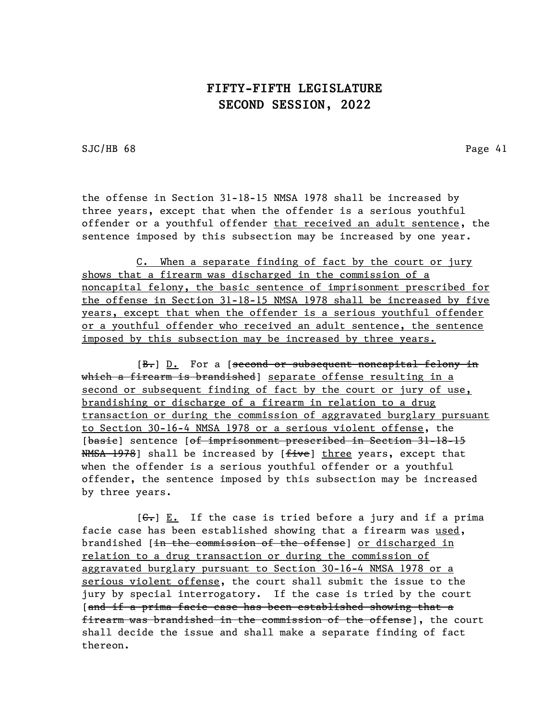SJC/HB 68 Page 41

the offense in Section 31-18-15 NMSA 1978 shall be increased by three years, except that when the offender is a serious youthful offender or a youthful offender that received an adult sentence, the sentence imposed by this subsection may be increased by one year.

C. When a separate finding of fact by the court or jury shows that a firearm was discharged in the commission of a noncapital felony, the basic sentence of imprisonment prescribed for the offense in Section 31-18-15 NMSA 1978 shall be increased by five years, except that when the offender is a serious youthful offender or a youthful offender who received an adult sentence, the sentence imposed by this subsection may be increased by three years.

[B.] D. For a [second or subsequent noncapital felony in which a firearm is brandished] separate offense resulting in a second or subsequent finding of fact by the court or jury of use, brandishing or discharge of a firearm in relation to a drug transaction or during the commission of aggravated burglary pursuant to Section 30-16-4 NMSA 1978 or a serious violent offense, the [basic] sentence [of imprisonment prescribed in Section 31-18-15 NMSA 1978] shall be increased by [five] three years, except that when the offender is a serious youthful offender or a youthful offender, the sentence imposed by this subsection may be increased by three years.

 $[G<sub>z</sub>]$  E. If the case is tried before a jury and if a prima facie case has been established showing that a firearm was used, brandished [<del>in the commission of the offense</del>] or discharged in relation to a drug transaction or during the commission of aggravated burglary pursuant to Section 30-16-4 NMSA 1978 or a serious violent offense, the court shall submit the issue to the jury by special interrogatory. If the case is tried by the court [and if a prima facie case has been established showing that a firearm was brandished in the commission of the offense], the court shall decide the issue and shall make a separate finding of fact thereon.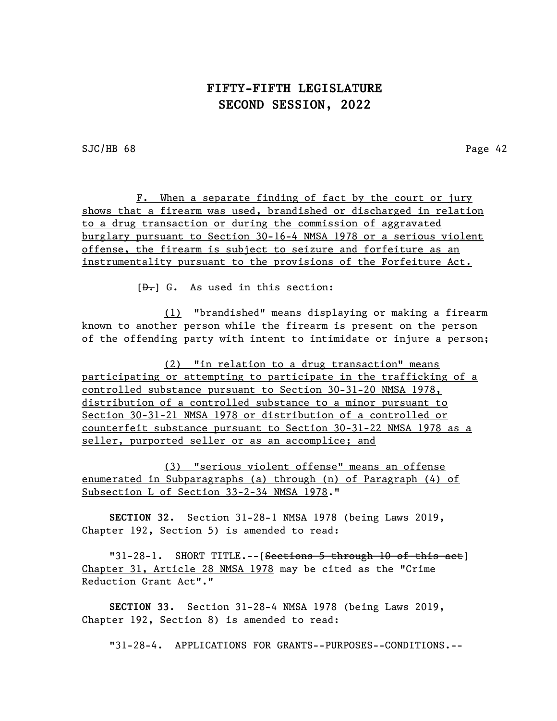SJC/HB 68 Page 42

F. When a separate finding of fact by the court or jury shows that a firearm was used, brandished or discharged in relation to a drug transaction or during the commission of aggravated burglary pursuant to Section 30-16-4 NMSA 1978 or a serious violent offense, the firearm is subject to seizure and forfeiture as an instrumentality pursuant to the provisions of the Forfeiture Act.

 $[\theta_{\bullet}]$  G. As used in this section:

(1) "brandished" means displaying or making a firearm known to another person while the firearm is present on the person of the offending party with intent to intimidate or injure a person;

(2) "in relation to a drug transaction" means participating or attempting to participate in the trafficking of a controlled substance pursuant to Section 30-31-20 NMSA 1978, distribution of a controlled substance to a minor pursuant to Section 30-31-21 NMSA 1978 or distribution of a controlled or counterfeit substance pursuant to Section 30-31-22 NMSA 1978 as a seller, purported seller or as an accomplice; and

(3) "serious violent offense" means an offense enumerated in Subparagraphs (a) through (n) of Paragraph (4) of Subsection L of Section 33-2-34 NMSA 1978."

SECTION 32. Section 31-28-1 NMSA 1978 (being Laws 2019, Chapter 192, Section 5) is amended to read:

"31-28-1. SHORT TITLE.--[Sections 5 through 10 of this act] Chapter 31, Article 28 NMSA 1978 may be cited as the "Crime Reduction Grant Act"."

SECTION 33. Section 31-28-4 NMSA 1978 (being Laws 2019, Chapter 192, Section 8) is amended to read:

"31-28-4. APPLICATIONS FOR GRANTS--PURPOSES--CONDITIONS.--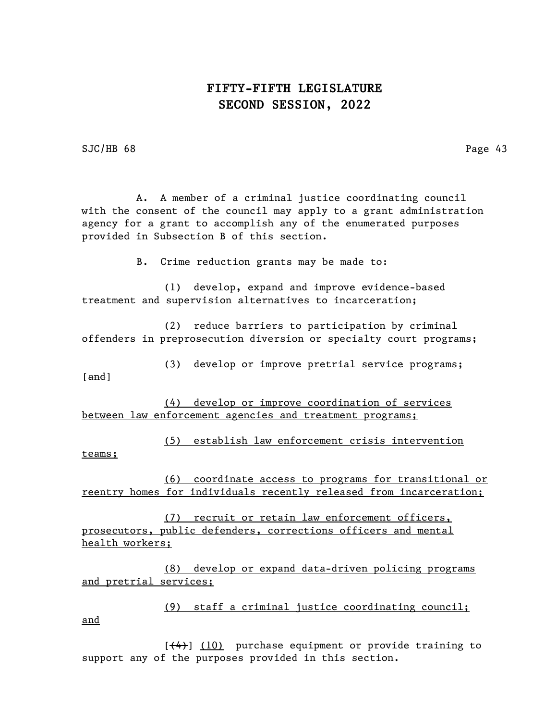SJC/HB 68 Page 43

and

A. A member of a criminal justice coordinating council with the consent of the council may apply to a grant administration agency for a grant to accomplish any of the enumerated purposes provided in Subsection B of this section.

B. Crime reduction grants may be made to:

(1) develop, expand and improve evidence-based treatment and supervision alternatives to incarceration;

(2) reduce barriers to participation by criminal offenders in preprosecution diversion or specialty court programs;

(3) develop or improve pretrial service programs;  $[and]$ 

(4) develop or improve coordination of services between law enforcement agencies and treatment programs;

(5) establish law enforcement crisis intervention teams;

(6) coordinate access to programs for transitional or reentry homes for individuals recently released from incarceration;

(7) recruit or retain law enforcement officers, prosecutors, public defenders, corrections officers and mental health workers;

(8) develop or expand data-driven policing programs and pretrial services;

(9) staff a criminal justice coordinating council;

 $[$   $(4)$ ]  $(10)$  purchase equipment or provide training to support any of the purposes provided in this section.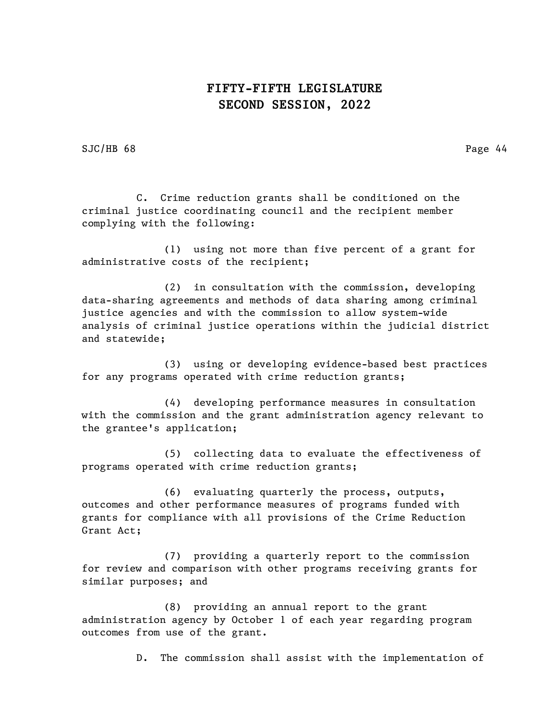SJC/HB 68 Page 44

C. Crime reduction grants shall be conditioned on the criminal justice coordinating council and the recipient member complying with the following:

(1) using not more than five percent of a grant for administrative costs of the recipient;

(2) in consultation with the commission, developing data-sharing agreements and methods of data sharing among criminal justice agencies and with the commission to allow system-wide analysis of criminal justice operations within the judicial district and statewide;

(3) using or developing evidence-based best practices for any programs operated with crime reduction grants;

(4) developing performance measures in consultation with the commission and the grant administration agency relevant to the grantee's application;

(5) collecting data to evaluate the effectiveness of programs operated with crime reduction grants;

(6) evaluating quarterly the process, outputs, outcomes and other performance measures of programs funded with grants for compliance with all provisions of the Crime Reduction Grant Act;

(7) providing a quarterly report to the commission for review and comparison with other programs receiving grants for similar purposes; and

(8) providing an annual report to the grant administration agency by October 1 of each year regarding program outcomes from use of the grant.

D. The commission shall assist with the implementation of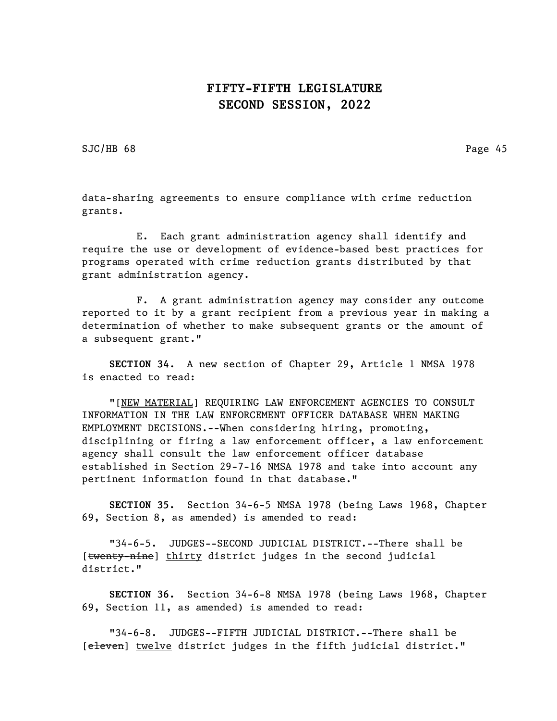SJC/HB 68 Page 45

data-sharing agreements to ensure compliance with crime reduction grants.

E. Each grant administration agency shall identify and require the use or development of evidence-based best practices for programs operated with crime reduction grants distributed by that grant administration agency.

F. A grant administration agency may consider any outcome reported to it by a grant recipient from a previous year in making a determination of whether to make subsequent grants or the amount of a subsequent grant."

SECTION 34. A new section of Chapter 29, Article 1 NMSA 1978 is enacted to read:

"[NEW MATERIAL] REQUIRING LAW ENFORCEMENT AGENCIES TO CONSULT INFORMATION IN THE LAW ENFORCEMENT OFFICER DATABASE WHEN MAKING EMPLOYMENT DECISIONS.--When considering hiring, promoting, disciplining or firing a law enforcement officer, a law enforcement agency shall consult the law enforcement officer database established in Section 29-7-16 NMSA 1978 and take into account any pertinent information found in that database."

SECTION 35. Section 34-6-5 NMSA 1978 (being Laws 1968, Chapter 69, Section 8, as amended) is amended to read:

"34-6-5. JUDGES--SECOND JUDICIAL DISTRICT.--There shall be [twenty-nine] thirty district judges in the second judicial district."

SECTION 36. Section 34-6-8 NMSA 1978 (being Laws 1968, Chapter 69, Section 11, as amended) is amended to read:

"34-6-8. JUDGES--FIFTH JUDICIAL DISTRICT.--There shall be [eleven] twelve district judges in the fifth judicial district."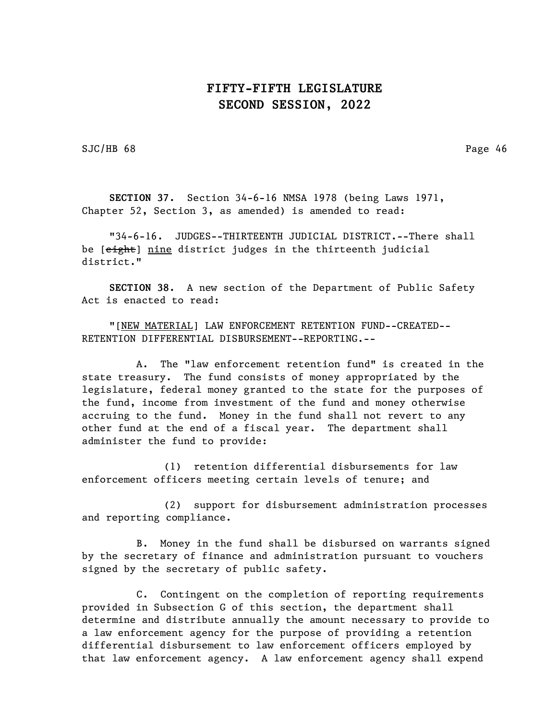SJC/HB 68 Page 46

SECTION 37. Section 34-6-16 NMSA 1978 (being Laws 1971, Chapter 52, Section 3, as amended) is amended to read:

"34-6-16. JUDGES--THIRTEENTH JUDICIAL DISTRICT.--There shall be [eight] nine district judges in the thirteenth judicial district."

SECTION 38. A new section of the Department of Public Safety Act is enacted to read:

"[NEW MATERIAL] LAW ENFORCEMENT RETENTION FUND--CREATED-- RETENTION DIFFERENTIAL DISBURSEMENT--REPORTING.--

A. The "law enforcement retention fund" is created in the state treasury. The fund consists of money appropriated by the legislature, federal money granted to the state for the purposes of the fund, income from investment of the fund and money otherwise accruing to the fund. Money in the fund shall not revert to any other fund at the end of a fiscal year. The department shall administer the fund to provide:

(1) retention differential disbursements for law enforcement officers meeting certain levels of tenure; and

(2) support for disbursement administration processes and reporting compliance.

B. Money in the fund shall be disbursed on warrants signed by the secretary of finance and administration pursuant to vouchers signed by the secretary of public safety.

C. Contingent on the completion of reporting requirements provided in Subsection G of this section, the department shall determine and distribute annually the amount necessary to provide to a law enforcement agency for the purpose of providing a retention differential disbursement to law enforcement officers employed by that law enforcement agency. A law enforcement agency shall expend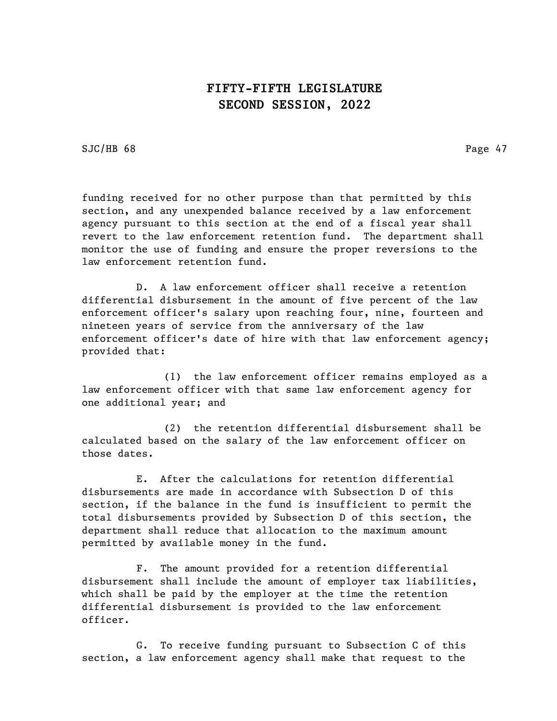SJC/HB 68 Page 47

funding received for no other purpose than that permitted by this section, and any unexpended balance received by a law enforcement agency pursuant to this section at the end of a fiscal year shall revert to the law enforcement retention fund. The department shall monitor the use of funding and ensure the proper reversions to the law enforcement retention fund.

D. A law enforcement officer shall receive a retention differential disbursement in the amount of five percent of the law enforcement officer's salary upon reaching four, nine, fourteen and nineteen years of service from the anniversary of the law enforcement officer's date of hire with that law enforcement agency; provided that:

(1) the law enforcement officer remains employed as a law enforcement officer with that same law enforcement agency for one additional year; and

(2) the retention differential disbursement shall be calculated based on the salary of the law enforcement officer on those dates.

E. After the calculations for retention differential disbursements are made in accordance with Subsection D of this section, if the balance in the fund is insufficient to permit the total disbursements provided by Subsection D of this section, the department shall reduce that allocation to the maximum amount permitted by available money in the fund.

F. The amount provided for a retention differential disbursement shall include the amount of employer tax liabilities, which shall be paid by the employer at the time the retention differential disbursement is provided to the law enforcement officer.

G. To receive funding pursuant to Subsection C of this section, a law enforcement agency shall make that request to the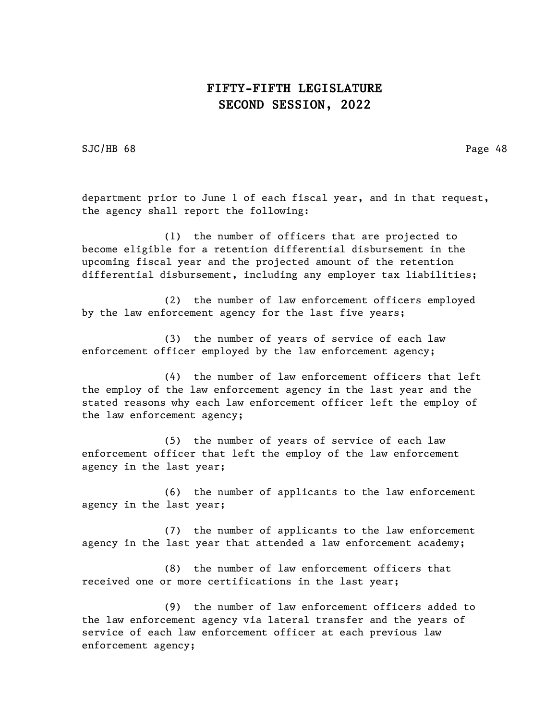SJC/HB 68 Page 48

department prior to June 1 of each fiscal year, and in that request, the agency shall report the following:

(1) the number of officers that are projected to become eligible for a retention differential disbursement in the upcoming fiscal year and the projected amount of the retention differential disbursement, including any employer tax liabilities;

(2) the number of law enforcement officers employed by the law enforcement agency for the last five years;

(3) the number of years of service of each law enforcement officer employed by the law enforcement agency;

(4) the number of law enforcement officers that left the employ of the law enforcement agency in the last year and the stated reasons why each law enforcement officer left the employ of the law enforcement agency;

(5) the number of years of service of each law enforcement officer that left the employ of the law enforcement agency in the last year;

(6) the number of applicants to the law enforcement agency in the last year;

(7) the number of applicants to the law enforcement agency in the last year that attended a law enforcement academy;

(8) the number of law enforcement officers that received one or more certifications in the last year;

(9) the number of law enforcement officers added to the law enforcement agency via lateral transfer and the years of service of each law enforcement officer at each previous law enforcement agency;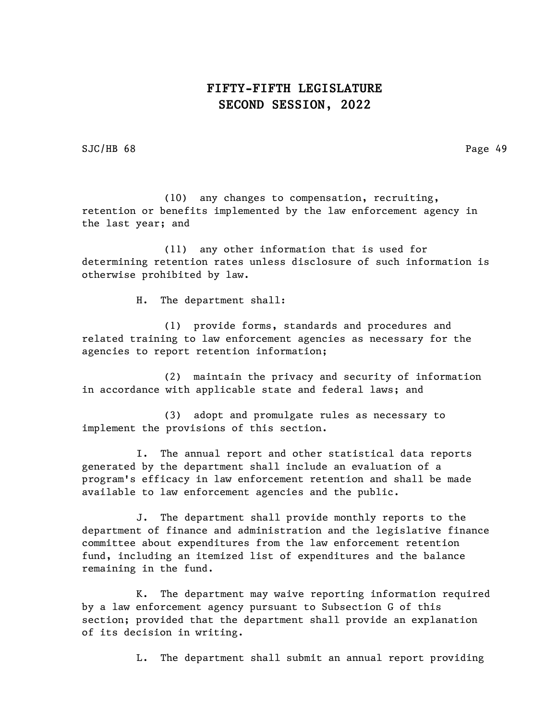SJC/HB 68 Page 49

(10) any changes to compensation, recruiting, retention or benefits implemented by the law enforcement agency in the last year; and

(11) any other information that is used for determining retention rates unless disclosure of such information is otherwise prohibited by law.

H. The department shall:

(1) provide forms, standards and procedures and related training to law enforcement agencies as necessary for the agencies to report retention information;

(2) maintain the privacy and security of information in accordance with applicable state and federal laws; and

(3) adopt and promulgate rules as necessary to implement the provisions of this section.

I. The annual report and other statistical data reports generated by the department shall include an evaluation of a program's efficacy in law enforcement retention and shall be made available to law enforcement agencies and the public.

J. The department shall provide monthly reports to the department of finance and administration and the legislative finance committee about expenditures from the law enforcement retention fund, including an itemized list of expenditures and the balance remaining in the fund.

K. The department may waive reporting information required by a law enforcement agency pursuant to Subsection G of this section; provided that the department shall provide an explanation of its decision in writing.

L. The department shall submit an annual report providing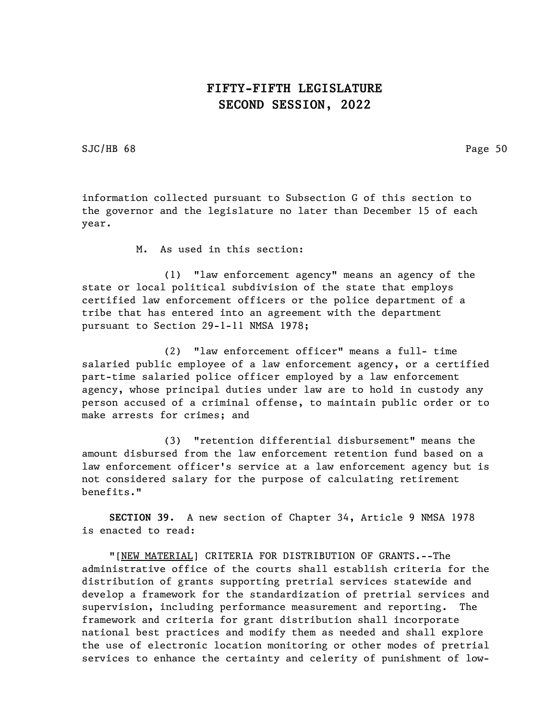SJC/HB 68 Page 50

information collected pursuant to Subsection G of this section to the governor and the legislature no later than December 15 of each year.

M. As used in this section:

(1) "law enforcement agency" means an agency of the state or local political subdivision of the state that employs certified law enforcement officers or the police department of a tribe that has entered into an agreement with the department pursuant to Section 29-1-11 NMSA 1978;

(2) "law enforcement officer" means a full- time salaried public employee of a law enforcement agency, or a certified part-time salaried police officer employed by a law enforcement agency, whose principal duties under law are to hold in custody any person accused of a criminal offense, to maintain public order or to make arrests for crimes; and

(3) "retention differential disbursement" means the amount disbursed from the law enforcement retention fund based on a law enforcement officer's service at a law enforcement agency but is not considered salary for the purpose of calculating retirement benefits."

SECTION 39. A new section of Chapter 34, Article 9 NMSA 1978 is enacted to read:

"[NEW MATERIAL] CRITERIA FOR DISTRIBUTION OF GRANTS.--The administrative office of the courts shall establish criteria for the distribution of grants supporting pretrial services statewide and develop a framework for the standardization of pretrial services and supervision, including performance measurement and reporting. The framework and criteria for grant distribution shall incorporate national best practices and modify them as needed and shall explore the use of electronic location monitoring or other modes of pretrial services to enhance the certainty and celerity of punishment of low-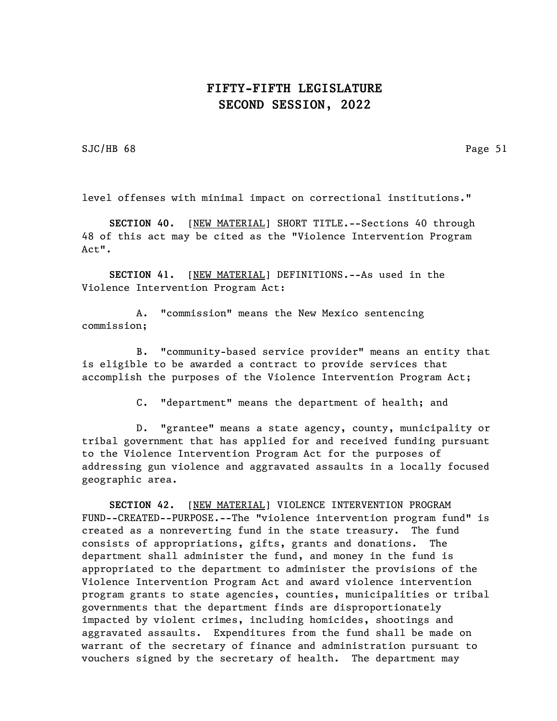SJC/HB 68 Page 51

level offenses with minimal impact on correctional institutions."

SECTION 40. [NEW MATERIAL] SHORT TITLE.--Sections 40 through 48 of this act may be cited as the "Violence Intervention Program Act".

SECTION 41. [NEW MATERIAL] DEFINITIONS. -- As used in the Violence Intervention Program Act:

A. "commission" means the New Mexico sentencing commission;

B. "community-based service provider" means an entity that is eligible to be awarded a contract to provide services that accomplish the purposes of the Violence Intervention Program Act;

C. "department" means the department of health; and

D. "grantee" means a state agency, county, municipality or tribal government that has applied for and received funding pursuant to the Violence Intervention Program Act for the purposes of addressing gun violence and aggravated assaults in a locally focused geographic area.

SECTION 42. [NEW MATERIAL] VIOLENCE INTERVENTION PROGRAM FUND--CREATED--PURPOSE.--The "violence intervention program fund" is created as a nonreverting fund in the state treasury. The fund consists of appropriations, gifts, grants and donations. The department shall administer the fund, and money in the fund is appropriated to the department to administer the provisions of the Violence Intervention Program Act and award violence intervention program grants to state agencies, counties, municipalities or tribal governments that the department finds are disproportionately impacted by violent crimes, including homicides, shootings and aggravated assaults. Expenditures from the fund shall be made on warrant of the secretary of finance and administration pursuant to vouchers signed by the secretary of health. The department may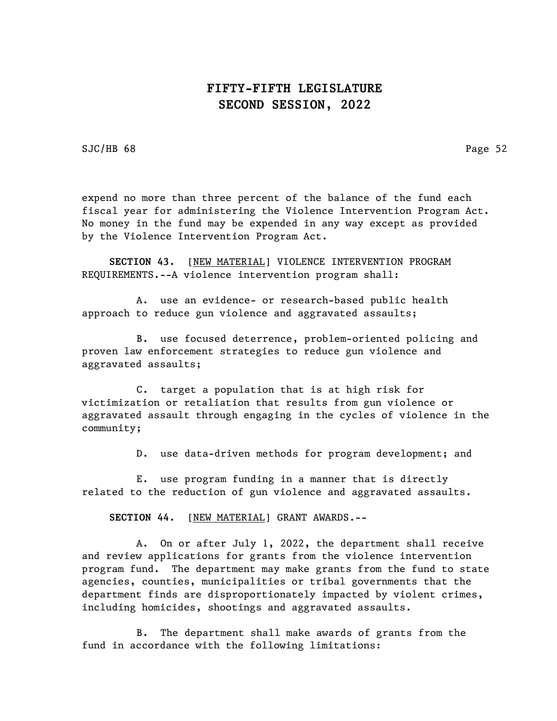SJC/HB 68 Page 52

expend no more than three percent of the balance of the fund each fiscal year for administering the Violence Intervention Program Act. No money in the fund may be expended in any way except as provided by the Violence Intervention Program Act.

SECTION 43. [NEW MATERIAL] VIOLENCE INTERVENTION PROGRAM REQUIREMENTS.--A violence intervention program shall:

A. use an evidence- or research-based public health approach to reduce gun violence and aggravated assaults;

B. use focused deterrence, problem-oriented policing and proven law enforcement strategies to reduce gun violence and aggravated assaults;

C. target a population that is at high risk for victimization or retaliation that results from gun violence or aggravated assault through engaging in the cycles of violence in the community;

D. use data-driven methods for program development; and

E. use program funding in a manner that is directly related to the reduction of gun violence and aggravated assaults.

SECTION 44. [NEW MATERIAL] GRANT AWARDS.--

A. On or after July 1, 2022, the department shall receive and review applications for grants from the violence intervention program fund. The department may make grants from the fund to state agencies, counties, municipalities or tribal governments that the department finds are disproportionately impacted by violent crimes, including homicides, shootings and aggravated assaults.

B. The department shall make awards of grants from the fund in accordance with the following limitations: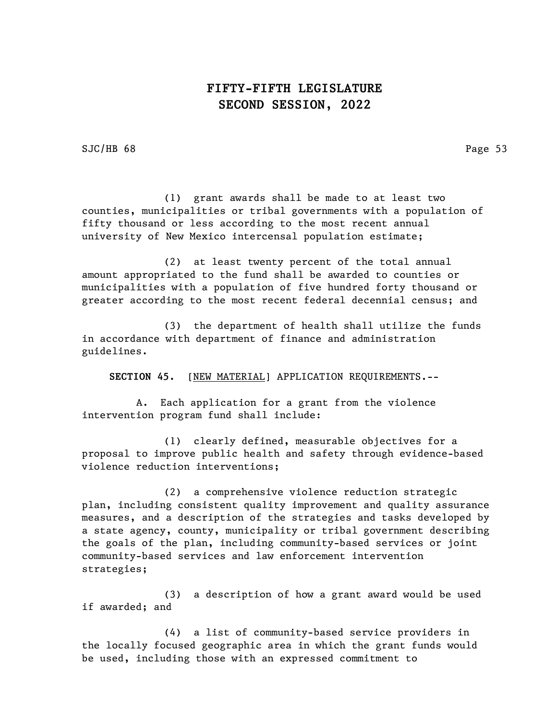SJC/HB 68 Page 53

(1) grant awards shall be made to at least two counties, municipalities or tribal governments with a population of fifty thousand or less according to the most recent annual university of New Mexico intercensal population estimate;

(2) at least twenty percent of the total annual amount appropriated to the fund shall be awarded to counties or municipalities with a population of five hundred forty thousand or greater according to the most recent federal decennial census; and

(3) the department of health shall utilize the funds in accordance with department of finance and administration guidelines.

SECTION 45. [NEW MATERIAL] APPLICATION REQUIREMENTS.--

A. Each application for a grant from the violence intervention program fund shall include:

(1) clearly defined, measurable objectives for a proposal to improve public health and safety through evidence-based violence reduction interventions;

(2) a comprehensive violence reduction strategic plan, including consistent quality improvement and quality assurance measures, and a description of the strategies and tasks developed by a state agency, county, municipality or tribal government describing the goals of the plan, including community-based services or joint community-based services and law enforcement intervention strategies;

(3) a description of how a grant award would be used if awarded; and

(4) a list of community-based service providers in the locally focused geographic area in which the grant funds would be used, including those with an expressed commitment to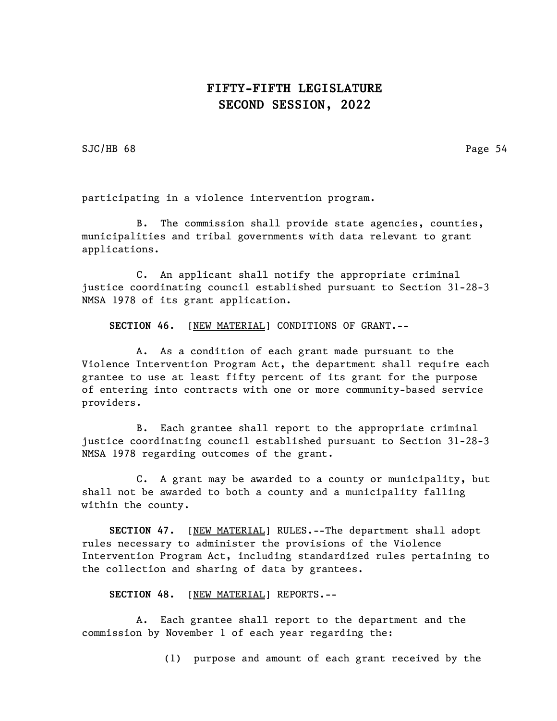SJC/HB 68 Page 54

participating in a violence intervention program.

B. The commission shall provide state agencies, counties, municipalities and tribal governments with data relevant to grant applications.

C. An applicant shall notify the appropriate criminal justice coordinating council established pursuant to Section 31-28-3 NMSA 1978 of its grant application.

SECTION 46. [NEW MATERIAL] CONDITIONS OF GRANT.--

A. As a condition of each grant made pursuant to the Violence Intervention Program Act, the department shall require each grantee to use at least fifty percent of its grant for the purpose of entering into contracts with one or more community-based service providers.

B. Each grantee shall report to the appropriate criminal justice coordinating council established pursuant to Section 31-28-3 NMSA 1978 regarding outcomes of the grant.

C. A grant may be awarded to a county or municipality, but shall not be awarded to both a county and a municipality falling within the county.

SECTION 47. [NEW MATERIAL] RULES.--The department shall adopt rules necessary to administer the provisions of the Violence Intervention Program Act, including standardized rules pertaining to the collection and sharing of data by grantees.

SECTION 48. [NEW MATERIAL] REPORTS.--

A. Each grantee shall report to the department and the commission by November 1 of each year regarding the:

(1) purpose and amount of each grant received by the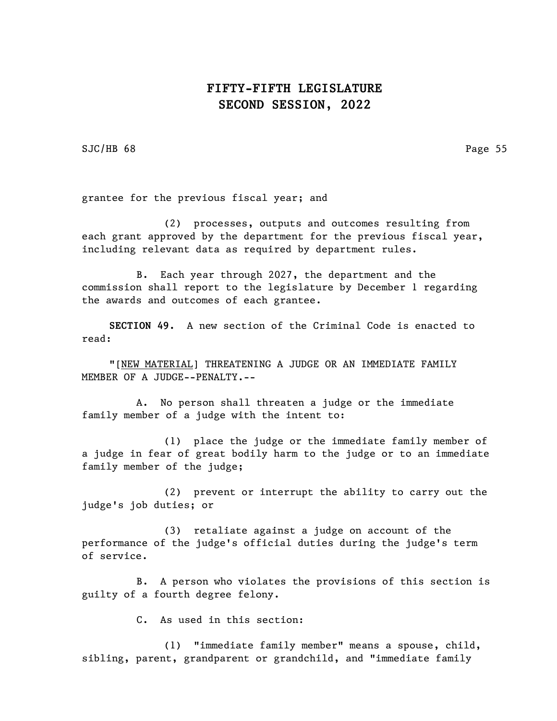SJC/HB 68 Page 55

grantee for the previous fiscal year; and

(2) processes, outputs and outcomes resulting from each grant approved by the department for the previous fiscal year, including relevant data as required by department rules.

B. Each year through 2027, the department and the commission shall report to the legislature by December 1 regarding the awards and outcomes of each grantee.

SECTION 49. A new section of the Criminal Code is enacted to read:

"[NEW MATERIAL] THREATENING A JUDGE OR AN IMMEDIATE FAMILY MEMBER OF A JUDGE--PENALTY.--

A. No person shall threaten a judge or the immediate family member of a judge with the intent to:

(1) place the judge or the immediate family member of a judge in fear of great bodily harm to the judge or to an immediate family member of the judge;

(2) prevent or interrupt the ability to carry out the judge's job duties; or

(3) retaliate against a judge on account of the performance of the judge's official duties during the judge's term of service.

B. A person who violates the provisions of this section is guilty of a fourth degree felony.

C. As used in this section:

(1) "immediate family member" means a spouse, child, sibling, parent, grandparent or grandchild, and "immediate family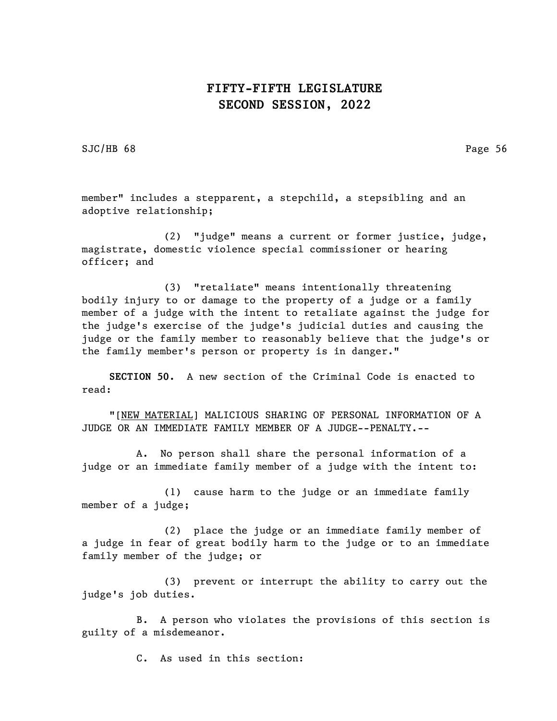SJC/HB 68 Page 56

member" includes a stepparent, a stepchild, a stepsibling and an adoptive relationship;

(2) "judge" means a current or former justice, judge, magistrate, domestic violence special commissioner or hearing officer; and

(3) "retaliate" means intentionally threatening bodily injury to or damage to the property of a judge or a family member of a judge with the intent to retaliate against the judge for the judge's exercise of the judge's judicial duties and causing the judge or the family member to reasonably believe that the judge's or the family member's person or property is in danger."

SECTION 50. A new section of the Criminal Code is enacted to read:

"[NEW MATERIAL] MALICIOUS SHARING OF PERSONAL INFORMATION OF A JUDGE OR AN IMMEDIATE FAMILY MEMBER OF A JUDGE--PENALTY.--

A. No person shall share the personal information of a judge or an immediate family member of a judge with the intent to:

(1) cause harm to the judge or an immediate family member of a judge;

(2) place the judge or an immediate family member of a judge in fear of great bodily harm to the judge or to an immediate family member of the judge; or

(3) prevent or interrupt the ability to carry out the judge's job duties.

B. A person who violates the provisions of this section is guilty of a misdemeanor.

C. As used in this section: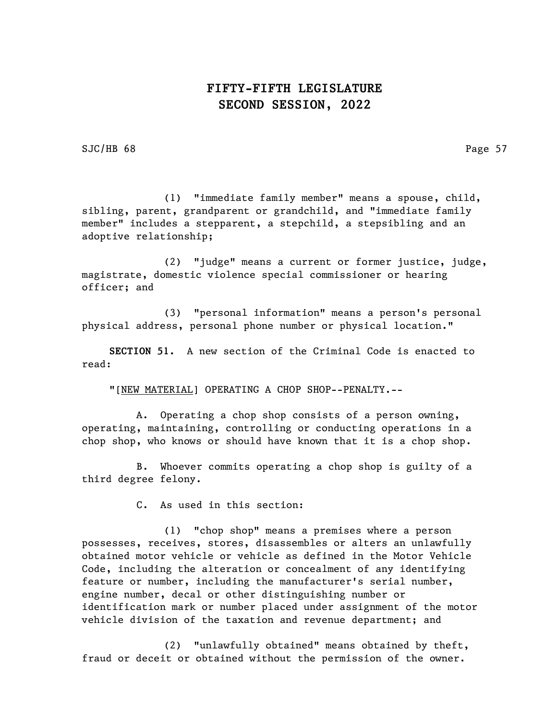SJC/HB 68 Page 57

(1) "immediate family member" means a spouse, child, sibling, parent, grandparent or grandchild, and "immediate family member" includes a stepparent, a stepchild, a stepsibling and an adoptive relationship;

(2) "judge" means a current or former justice, judge, magistrate, domestic violence special commissioner or hearing officer; and

(3) "personal information" means a person's personal physical address, personal phone number or physical location."

SECTION 51. A new section of the Criminal Code is enacted to read:

"[NEW MATERIAL] OPERATING A CHOP SHOP--PENALTY.--

A. Operating a chop shop consists of a person owning, operating, maintaining, controlling or conducting operations in a chop shop, who knows or should have known that it is a chop shop.

B. Whoever commits operating a chop shop is guilty of a third degree felony.

C. As used in this section:

(1) "chop shop" means a premises where a person possesses, receives, stores, disassembles or alters an unlawfully obtained motor vehicle or vehicle as defined in the Motor Vehicle Code, including the alteration or concealment of any identifying feature or number, including the manufacturer's serial number, engine number, decal or other distinguishing number or identification mark or number placed under assignment of the motor vehicle division of the taxation and revenue department; and

(2) "unlawfully obtained" means obtained by theft, fraud or deceit or obtained without the permission of the owner.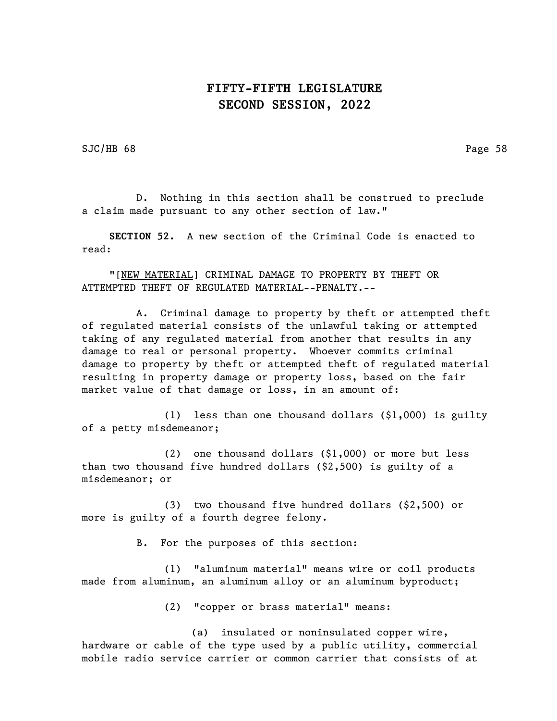SJC/HB 68 Page 58

D. Nothing in this section shall be construed to preclude a claim made pursuant to any other section of law."

SECTION 52. A new section of the Criminal Code is enacted to read:

"[NEW MATERIAL] CRIMINAL DAMAGE TO PROPERTY BY THEFT OR ATTEMPTED THEFT OF REGULATED MATERIAL--PENALTY.--

A. Criminal damage to property by theft or attempted theft of regulated material consists of the unlawful taking or attempted taking of any regulated material from another that results in any damage to real or personal property. Whoever commits criminal damage to property by theft or attempted theft of regulated material resulting in property damage or property loss, based on the fair market value of that damage or loss, in an amount of:

(1) less than one thousand dollars (\$1,000) is guilty of a petty misdemeanor;

(2) one thousand dollars (\$1,000) or more but less than two thousand five hundred dollars (\$2,500) is guilty of a misdemeanor; or

(3) two thousand five hundred dollars (\$2,500) or more is guilty of a fourth degree felony.

B. For the purposes of this section:

(1) "aluminum material" means wire or coil products made from aluminum, an aluminum alloy or an aluminum byproduct;

(2) "copper or brass material" means:

(a) insulated or noninsulated copper wire, hardware or cable of the type used by a public utility, commercial mobile radio service carrier or common carrier that consists of at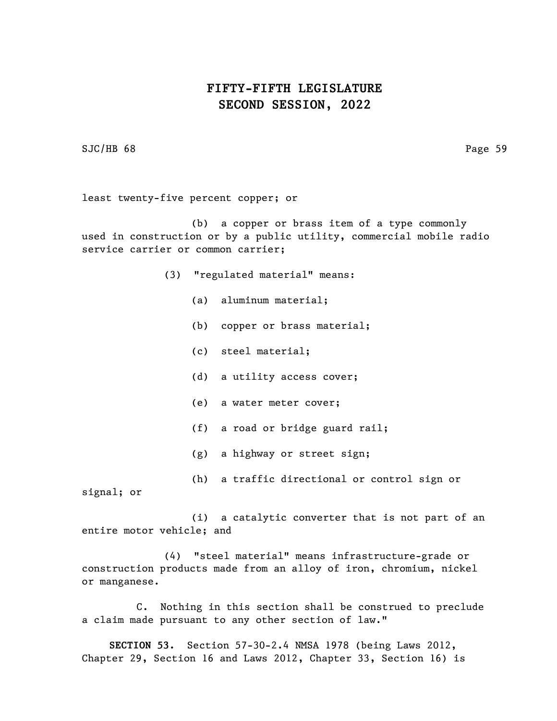SJC/HB 68 Page 59

least twenty-five percent copper; or

(b) a copper or brass item of a type commonly used in construction or by a public utility, commercial mobile radio service carrier or common carrier;

- (3) "regulated material" means:
	- (a) aluminum material;
	- (b) copper or brass material;
	- (c) steel material;
	- (d) a utility access cover;
	- (e) a water meter cover;
	- (f) a road or bridge guard rail;
	- (g) a highway or street sign;
- (h) a traffic directional or control sign or

signal; or

(i) a catalytic converter that is not part of an entire motor vehicle; and

(4) "steel material" means infrastructure-grade or construction products made from an alloy of iron, chromium, nickel or manganese.

C. Nothing in this section shall be construed to preclude a claim made pursuant to any other section of law."

SECTION 53. Section 57-30-2.4 NMSA 1978 (being Laws 2012, Chapter 29, Section 16 and Laws 2012, Chapter 33, Section 16) is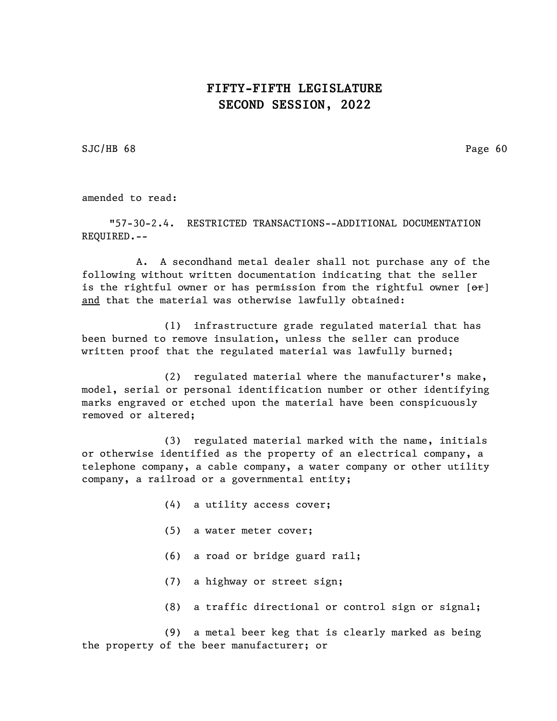SJC/HB 68 Page 60

amended to read:

"57-30-2.4. RESTRICTED TRANSACTIONS--ADDITIONAL DOCUMENTATION REQUIRED.--

A. A secondhand metal dealer shall not purchase any of the following without written documentation indicating that the seller is the rightful owner or has permission from the rightful owner  $[ $\theta$ renden  $\theta$$ and that the material was otherwise lawfully obtained:

(1) infrastructure grade regulated material that has been burned to remove insulation, unless the seller can produce written proof that the regulated material was lawfully burned;

(2) regulated material where the manufacturer's make, model, serial or personal identification number or other identifying marks engraved or etched upon the material have been conspicuously removed or altered;

(3) regulated material marked with the name, initials or otherwise identified as the property of an electrical company, a telephone company, a cable company, a water company or other utility company, a railroad or a governmental entity;

- (4) a utility access cover;
- (5) a water meter cover;
- (6) a road or bridge guard rail;
- (7) a highway or street sign;
- (8) a traffic directional or control sign or signal;

(9) a metal beer keg that is clearly marked as being the property of the beer manufacturer; or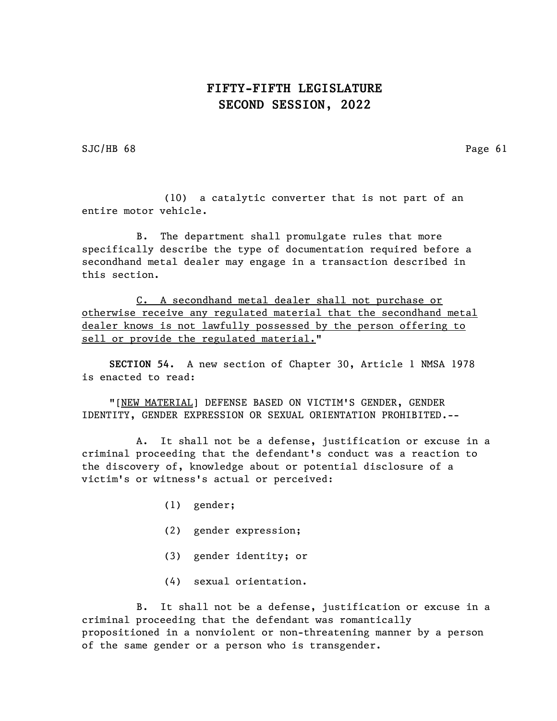SJC/HB 68 Page 61

(10) a catalytic converter that is not part of an entire motor vehicle.

B. The department shall promulgate rules that more specifically describe the type of documentation required before a secondhand metal dealer may engage in a transaction described in this section.

C. A secondhand metal dealer shall not purchase or otherwise receive any regulated material that the secondhand metal dealer knows is not lawfully possessed by the person offering to sell or provide the regulated material."

SECTION 54. A new section of Chapter 30, Article 1 NMSA 1978 is enacted to read:

"[NEW MATERIAL] DEFENSE BASED ON VICTIM'S GENDER, GENDER IDENTITY, GENDER EXPRESSION OR SEXUAL ORIENTATION PROHIBITED.--

A. It shall not be a defense, justification or excuse in a criminal proceeding that the defendant's conduct was a reaction to the discovery of, knowledge about or potential disclosure of a victim's or witness's actual or perceived:

- (1) gender;
- (2) gender expression;
- (3) gender identity; or
- (4) sexual orientation.

B. It shall not be a defense, justification or excuse in a criminal proceeding that the defendant was romantically propositioned in a nonviolent or non-threatening manner by a person of the same gender or a person who is transgender.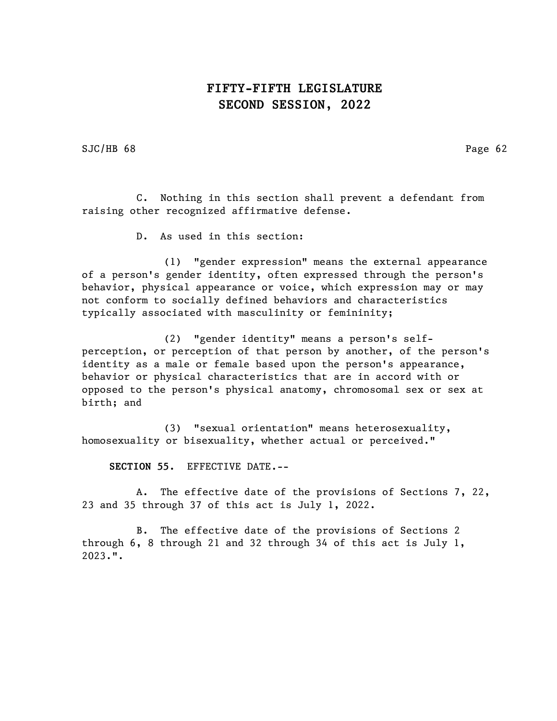SJC/HB 68 Page 62

C. Nothing in this section shall prevent a defendant from raising other recognized affirmative defense.

D. As used in this section:

(1) "gender expression" means the external appearance of a person's gender identity, often expressed through the person's behavior, physical appearance or voice, which expression may or may not conform to socially defined behaviors and characteristics typically associated with masculinity or femininity;

(2) "gender identity" means a person's selfperception, or perception of that person by another, of the person's identity as a male or female based upon the person's appearance, behavior or physical characteristics that are in accord with or opposed to the person's physical anatomy, chromosomal sex or sex at birth; and

(3) "sexual orientation" means heterosexuality, homosexuality or bisexuality, whether actual or perceived."

SECTION 55. EFFECTIVE DATE.--

A. The effective date of the provisions of Sections 7, 22, 23 and 35 through 37 of this act is July 1, 2022.

B. The effective date of the provisions of Sections 2 through 6, 8 through 21 and 32 through 34 of this act is July 1, 2023.".